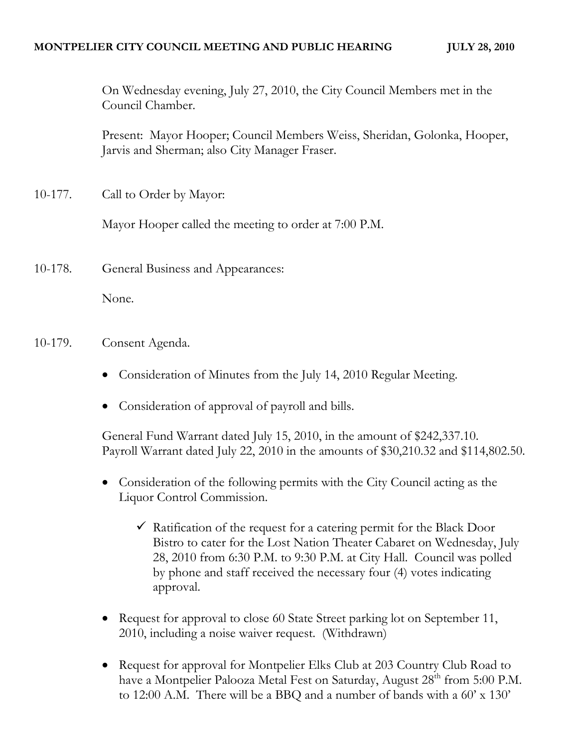On Wednesday evening, July 27, 2010, the City Council Members met in the Council Chamber.

Present: Mayor Hooper; Council Members Weiss, Sheridan, Golonka, Hooper, Jarvis and Sherman; also City Manager Fraser.

10-177. Call to Order by Mayor:

Mayor Hooper called the meeting to order at 7:00 P.M.

10-178. General Business and Appearances:

None.

- 10-179. Consent Agenda.
	- Consideration of Minutes from the July 14, 2010 Regular Meeting.
	- Consideration of approval of payroll and bills.

General Fund Warrant dated July 15, 2010, in the amount of \$242,337.10. Payroll Warrant dated July 22, 2010 in the amounts of \$30,210.32 and \$114,802.50.

- Consideration of the following permits with the City Council acting as the Liquor Control Commission.
	- $\checkmark$  Ratification of the request for a catering permit for the Black Door Bistro to cater for the Lost Nation Theater Cabaret on Wednesday, July 28, 2010 from 6:30 P.M. to 9:30 P.M. at City Hall. Council was polled by phone and staff received the necessary four (4) votes indicating approval.
- Request for approval to close 60 State Street parking lot on September 11, 2010, including a noise waiver request. (Withdrawn)
- Request for approval for Montpelier Elks Club at 203 Country Club Road to have a Montpelier Palooza Metal Fest on Saturday, August 28<sup>th</sup> from 5:00 P.M. to 12:00 A.M. There will be a BBQ and a number of bands with a 60' x 130'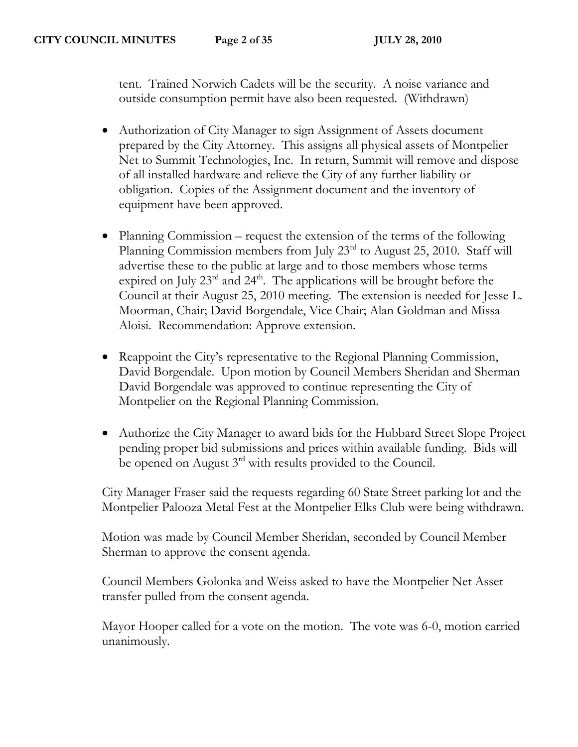tent. Trained Norwich Cadets will be the security. A noise variance and outside consumption permit have also been requested. (Withdrawn)

- Authorization of City Manager to sign Assignment of Assets document prepared by the City Attorney. This assigns all physical assets of Montpelier Net to Summit Technologies, Inc. In return, Summit will remove and dispose of all installed hardware and relieve the City of any further liability or obligation. Copies of the Assignment document and the inventory of equipment have been approved.
- Planning Commission request the extension of the terms of the following Planning Commission members from July 23<sup>rd</sup> to August 25, 2010. Staff will advertise these to the public at large and to those members whose terms expired on July  $23<sup>rd</sup>$  and  $24<sup>th</sup>$ . The applications will be brought before the Council at their August 25, 2010 meeting. The extension is needed for Jesse L. Moorman, Chair; David Borgendale, Vice Chair; Alan Goldman and Missa Aloisi. Recommendation: Approve extension.
- Reappoint the City's representative to the Regional Planning Commission, David Borgendale. Upon motion by Council Members Sheridan and Sherman David Borgendale was approved to continue representing the City of Montpelier on the Regional Planning Commission.
- Authorize the City Manager to award bids for the Hubbard Street Slope Project pending proper bid submissions and prices within available funding. Bids will be opened on August 3<sup>rd</sup> with results provided to the Council.

City Manager Fraser said the requests regarding 60 State Street parking lot and the Montpelier Palooza Metal Fest at the Montpelier Elks Club were being withdrawn.

Motion was made by Council Member Sheridan, seconded by Council Member Sherman to approve the consent agenda.

Council Members Golonka and Weiss asked to have the Montpelier Net Asset transfer pulled from the consent agenda.

Mayor Hooper called for a vote on the motion. The vote was 6-0, motion carried unanimously.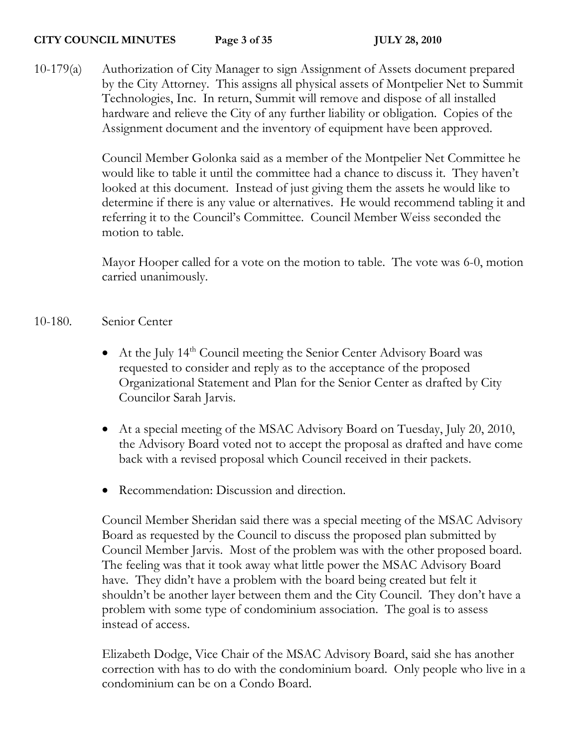10-179(a) Authorization of City Manager to sign Assignment of Assets document prepared by the City Attorney. This assigns all physical assets of Montpelier Net to Summit Technologies, Inc. In return, Summit will remove and dispose of all installed hardware and relieve the City of any further liability or obligation. Copies of the Assignment document and the inventory of equipment have been approved.

> Council Member Golonka said as a member of the Montpelier Net Committee he would like to table it until the committee had a chance to discuss it. They haven't looked at this document. Instead of just giving them the assets he would like to determine if there is any value or alternatives. He would recommend tabling it and referring it to the Council's Committee. Council Member Weiss seconded the motion to table.

> Mayor Hooper called for a vote on the motion to table. The vote was 6-0, motion carried unanimously.

- 10-180. Senior Center
	- At the July 14<sup>th</sup> Council meeting the Senior Center Advisory Board was requested to consider and reply as to the acceptance of the proposed Organizational Statement and Plan for the Senior Center as drafted by City Councilor Sarah Jarvis.
	- At a special meeting of the MSAC Advisory Board on Tuesday, July 20, 2010, the Advisory Board voted not to accept the proposal as drafted and have come back with a revised proposal which Council received in their packets.
	- Recommendation: Discussion and direction.

Council Member Sheridan said there was a special meeting of the MSAC Advisory Board as requested by the Council to discuss the proposed plan submitted by Council Member Jarvis. Most of the problem was with the other proposed board. The feeling was that it took away what little power the MSAC Advisory Board have. They didn't have a problem with the board being created but felt it shouldn't be another layer between them and the City Council. They don't have a problem with some type of condominium association. The goal is to assess instead of access.

Elizabeth Dodge, Vice Chair of the MSAC Advisory Board, said she has another correction with has to do with the condominium board. Only people who live in a condominium can be on a Condo Board.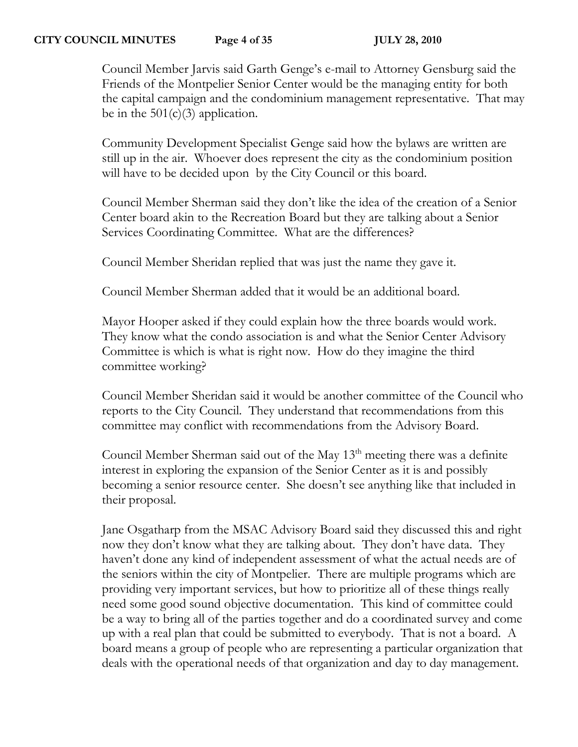## **CITY COUNCIL MINUTES Page 4 of 35 JULY 28, 2010**

Council Member Jarvis said Garth Genge's e-mail to Attorney Gensburg said the Friends of the Montpelier Senior Center would be the managing entity for both the capital campaign and the condominium management representative. That may be in the  $501(c)(3)$  application.

Community Development Specialist Genge said how the bylaws are written are still up in the air. Whoever does represent the city as the condominium position will have to be decided upon by the City Council or this board.

Council Member Sherman said they don't like the idea of the creation of a Senior Center board akin to the Recreation Board but they are talking about a Senior Services Coordinating Committee. What are the differences?

Council Member Sheridan replied that was just the name they gave it.

Council Member Sherman added that it would be an additional board.

Mayor Hooper asked if they could explain how the three boards would work. They know what the condo association is and what the Senior Center Advisory Committee is which is what is right now. How do they imagine the third committee working?

Council Member Sheridan said it would be another committee of the Council who reports to the City Council. They understand that recommendations from this committee may conflict with recommendations from the Advisory Board.

Council Member Sherman said out of the May 13<sup>th</sup> meeting there was a definite interest in exploring the expansion of the Senior Center as it is and possibly becoming a senior resource center. She doesn't see anything like that included in their proposal.

Jane Osgatharp from the MSAC Advisory Board said they discussed this and right now they don't know what they are talking about. They don't have data. They haven't done any kind of independent assessment of what the actual needs are of the seniors within the city of Montpelier. There are multiple programs which are providing very important services, but how to prioritize all of these things really need some good sound objective documentation. This kind of committee could be a way to bring all of the parties together and do a coordinated survey and come up with a real plan that could be submitted to everybody. That is not a board. A board means a group of people who are representing a particular organization that deals with the operational needs of that organization and day to day management.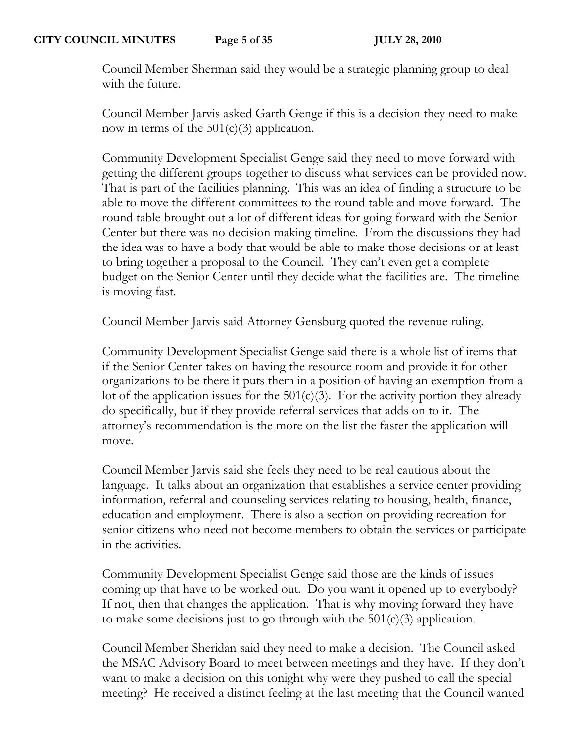Council Member Sherman said they would be a strategic planning group to deal with the future.

Council Member Jarvis asked Garth Genge if this is a decision they need to make now in terms of the  $501(c)(3)$  application.

Community Development Specialist Genge said they need to move forward with getting the different groups together to discuss what services can be provided now. That is part of the facilities planning. This was an idea of finding a structure to be able to move the different committees to the round table and move forward. The round table brought out a lot of different ideas for going forward with the Senior Center but there was no decision making timeline. From the discussions they had the idea was to have a body that would be able to make those decisions or at least to bring together a proposal to the Council. They can't even get a complete budget on the Senior Center until they decide what the facilities are. The timeline is moving fast.

Council Member Jarvis said Attorney Gensburg quoted the revenue ruling.

Community Development Specialist Genge said there is a whole list of items that if the Senior Center takes on having the resource room and provide it for other organizations to be there it puts them in a position of having an exemption from a lot of the application issues for the  $501(c)(3)$ . For the activity portion they already do specifically, but if they provide referral services that adds on to it. The attorney's recommendation is the more on the list the faster the application will move.

Council Member Jarvis said she feels they need to be real cautious about the language. It talks about an organization that establishes a service center providing information, referral and counseling services relating to housing, health, finance, education and employment. There is also a section on providing recreation for senior citizens who need not become members to obtain the services or participate in the activities.

Community Development Specialist Genge said those are the kinds of issues coming up that have to be worked out. Do you want it opened up to everybody? If not, then that changes the application. That is why moving forward they have to make some decisions just to go through with the  $501(c)(3)$  application.

Council Member Sheridan said they need to make a decision. The Council asked the MSAC Advisory Board to meet between meetings and they have. If they don't want to make a decision on this tonight why were they pushed to call the special meeting? He received a distinct feeling at the last meeting that the Council wanted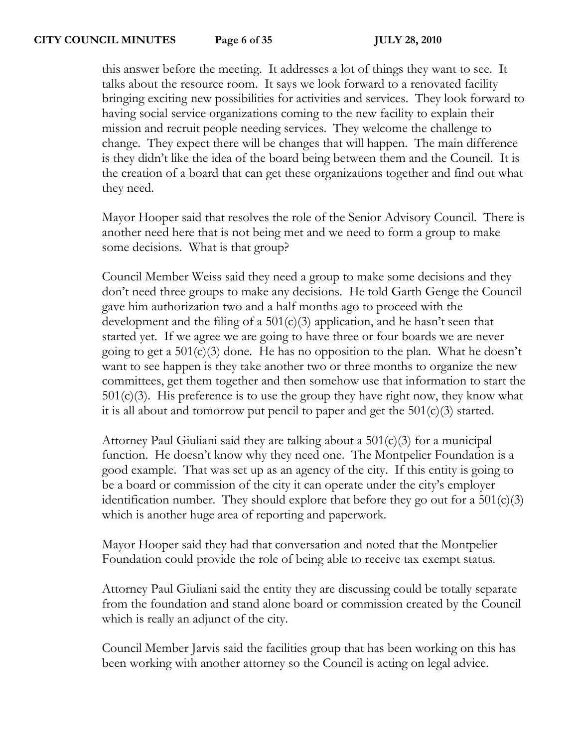this answer before the meeting. It addresses a lot of things they want to see. It talks about the resource room. It says we look forward to a renovated facility bringing exciting new possibilities for activities and services. They look forward to having social service organizations coming to the new facility to explain their mission and recruit people needing services. They welcome the challenge to change. They expect there will be changes that will happen. The main difference is they didn't like the idea of the board being between them and the Council. It is the creation of a board that can get these organizations together and find out what they need.

Mayor Hooper said that resolves the role of the Senior Advisory Council. There is another need here that is not being met and we need to form a group to make some decisions. What is that group?

Council Member Weiss said they need a group to make some decisions and they don't need three groups to make any decisions. He told Garth Genge the Council gave him authorization two and a half months ago to proceed with the development and the filing of a  $501(c)(3)$  application, and he hasn't seen that started yet. If we agree we are going to have three or four boards we are never going to get a 501(c)(3) done. He has no opposition to the plan. What he doesn't want to see happen is they take another two or three months to organize the new committees, get them together and then somehow use that information to start the  $501(c)(3)$ . His preference is to use the group they have right now, they know what it is all about and tomorrow put pencil to paper and get the 501(c)(3) started.

Attorney Paul Giuliani said they are talking about a 501(c)(3) for a municipal function. He doesn't know why they need one. The Montpelier Foundation is a good example. That was set up as an agency of the city. If this entity is going to be a board or commission of the city it can operate under the city's employer identification number. They should explore that before they go out for a  $501(c)(3)$ which is another huge area of reporting and paperwork.

Mayor Hooper said they had that conversation and noted that the Montpelier Foundation could provide the role of being able to receive tax exempt status.

Attorney Paul Giuliani said the entity they are discussing could be totally separate from the foundation and stand alone board or commission created by the Council which is really an adjunct of the city.

Council Member Jarvis said the facilities group that has been working on this has been working with another attorney so the Council is acting on legal advice.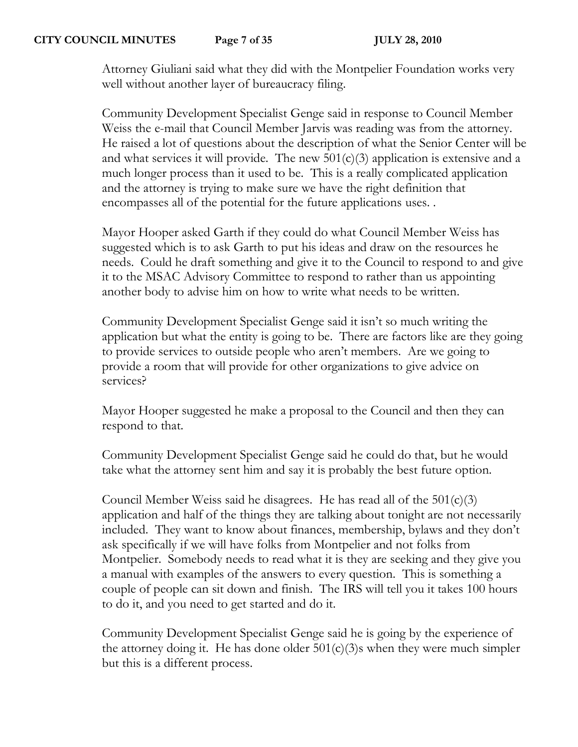Attorney Giuliani said what they did with the Montpelier Foundation works very well without another layer of bureaucracy filing.

Community Development Specialist Genge said in response to Council Member Weiss the e-mail that Council Member Jarvis was reading was from the attorney. He raised a lot of questions about the description of what the Senior Center will be and what services it will provide. The new  $501(c)(3)$  application is extensive and a much longer process than it used to be. This is a really complicated application and the attorney is trying to make sure we have the right definition that encompasses all of the potential for the future applications uses. .

Mayor Hooper asked Garth if they could do what Council Member Weiss has suggested which is to ask Garth to put his ideas and draw on the resources he needs. Could he draft something and give it to the Council to respond to and give it to the MSAC Advisory Committee to respond to rather than us appointing another body to advise him on how to write what needs to be written.

Community Development Specialist Genge said it isn't so much writing the application but what the entity is going to be. There are factors like are they going to provide services to outside people who aren't members. Are we going to provide a room that will provide for other organizations to give advice on services?

Mayor Hooper suggested he make a proposal to the Council and then they can respond to that.

Community Development Specialist Genge said he could do that, but he would take what the attorney sent him and say it is probably the best future option.

Council Member Weiss said he disagrees. He has read all of the 501(c)(3) application and half of the things they are talking about tonight are not necessarily included. They want to know about finances, membership, bylaws and they don't ask specifically if we will have folks from Montpelier and not folks from Montpelier. Somebody needs to read what it is they are seeking and they give you a manual with examples of the answers to every question. This is something a couple of people can sit down and finish. The IRS will tell you it takes 100 hours to do it, and you need to get started and do it.

Community Development Specialist Genge said he is going by the experience of the attorney doing it. He has done older  $501(c)(3)$ s when they were much simpler but this is a different process.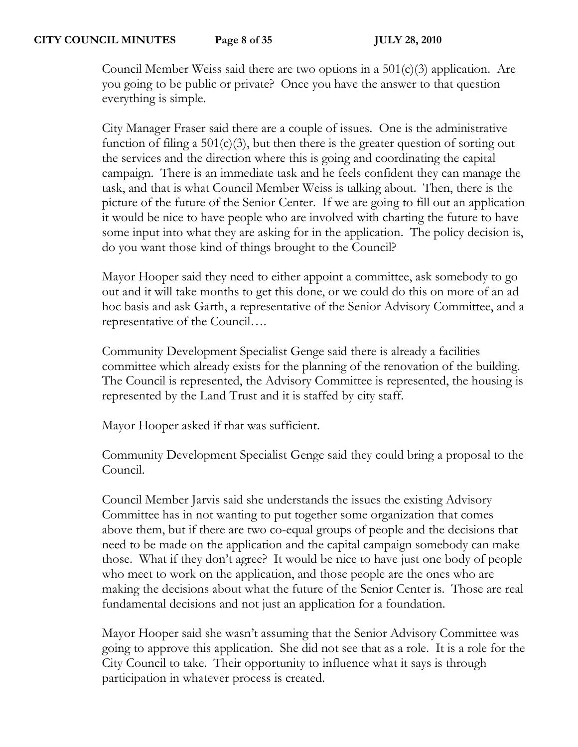Council Member Weiss said there are two options in a  $501(c)(3)$  application. Are you going to be public or private? Once you have the answer to that question everything is simple.

City Manager Fraser said there are a couple of issues. One is the administrative function of filing a  $501(c)(3)$ , but then there is the greater question of sorting out the services and the direction where this is going and coordinating the capital campaign. There is an immediate task and he feels confident they can manage the task, and that is what Council Member Weiss is talking about. Then, there is the picture of the future of the Senior Center. If we are going to fill out an application it would be nice to have people who are involved with charting the future to have some input into what they are asking for in the application. The policy decision is, do you want those kind of things brought to the Council?

Mayor Hooper said they need to either appoint a committee, ask somebody to go out and it will take months to get this done, or we could do this on more of an ad hoc basis and ask Garth, a representative of the Senior Advisory Committee, and a representative of the Council….

Community Development Specialist Genge said there is already a facilities committee which already exists for the planning of the renovation of the building. The Council is represented, the Advisory Committee is represented, the housing is represented by the Land Trust and it is staffed by city staff.

Mayor Hooper asked if that was sufficient.

Community Development Specialist Genge said they could bring a proposal to the Council.

Council Member Jarvis said she understands the issues the existing Advisory Committee has in not wanting to put together some organization that comes above them, but if there are two co-equal groups of people and the decisions that need to be made on the application and the capital campaign somebody can make those. What if they don't agree? It would be nice to have just one body of people who meet to work on the application, and those people are the ones who are making the decisions about what the future of the Senior Center is. Those are real fundamental decisions and not just an application for a foundation.

Mayor Hooper said she wasn't assuming that the Senior Advisory Committee was going to approve this application. She did not see that as a role. It is a role for the City Council to take. Their opportunity to influence what it says is through participation in whatever process is created.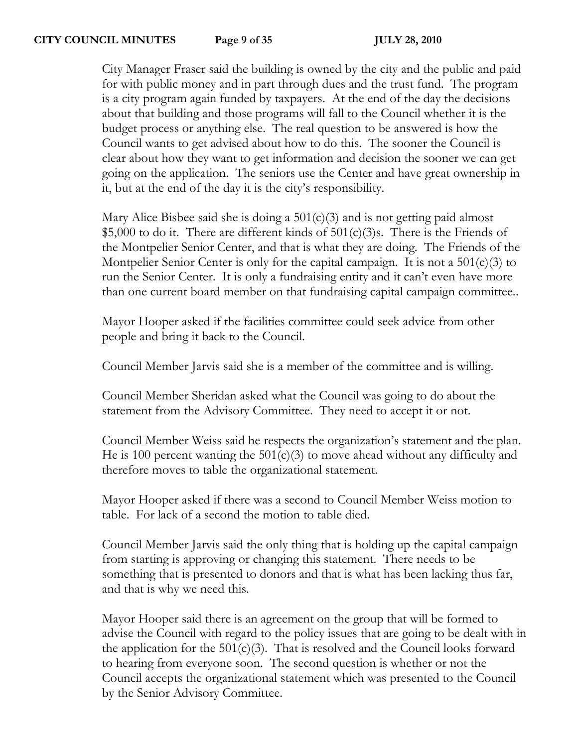City Manager Fraser said the building is owned by the city and the public and paid for with public money and in part through dues and the trust fund. The program is a city program again funded by taxpayers. At the end of the day the decisions about that building and those programs will fall to the Council whether it is the budget process or anything else. The real question to be answered is how the Council wants to get advised about how to do this. The sooner the Council is clear about how they want to get information and decision the sooner we can get going on the application. The seniors use the Center and have great ownership in it, but at the end of the day it is the city's responsibility.

Mary Alice Bisbee said she is doing a 501(c)(3) and is not getting paid almost \$5,000 to do it. There are different kinds of  $501(c)(3)$ s. There is the Friends of the Montpelier Senior Center, and that is what they are doing. The Friends of the Montpelier Senior Center is only for the capital campaign. It is not a  $501(c)(3)$  to run the Senior Center. It is only a fundraising entity and it can't even have more than one current board member on that fundraising capital campaign committee..

Mayor Hooper asked if the facilities committee could seek advice from other people and bring it back to the Council.

Council Member Jarvis said she is a member of the committee and is willing.

Council Member Sheridan asked what the Council was going to do about the statement from the Advisory Committee. They need to accept it or not.

Council Member Weiss said he respects the organization's statement and the plan. He is 100 percent wanting the  $501(c)(3)$  to move ahead without any difficulty and therefore moves to table the organizational statement.

Mayor Hooper asked if there was a second to Council Member Weiss motion to table. For lack of a second the motion to table died.

Council Member Jarvis said the only thing that is holding up the capital campaign from starting is approving or changing this statement. There needs to be something that is presented to donors and that is what has been lacking thus far, and that is why we need this.

Mayor Hooper said there is an agreement on the group that will be formed to advise the Council with regard to the policy issues that are going to be dealt with in the application for the  $501(c)(3)$ . That is resolved and the Council looks forward to hearing from everyone soon. The second question is whether or not the Council accepts the organizational statement which was presented to the Council by the Senior Advisory Committee.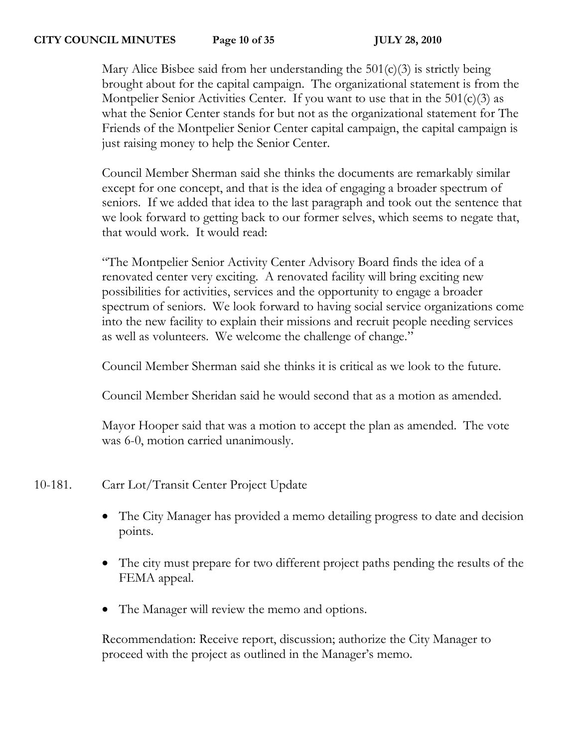## **CITY COUNCIL MINUTES Page 10 of 35 JULY 28, 2010**

Mary Alice Bisbee said from her understanding the  $501(c)(3)$  is strictly being brought about for the capital campaign. The organizational statement is from the Montpelier Senior Activities Center. If you want to use that in the  $501(c)(3)$  as what the Senior Center stands for but not as the organizational statement for The Friends of the Montpelier Senior Center capital campaign, the capital campaign is just raising money to help the Senior Center.

Council Member Sherman said she thinks the documents are remarkably similar except for one concept, and that is the idea of engaging a broader spectrum of seniors. If we added that idea to the last paragraph and took out the sentence that we look forward to getting back to our former selves, which seems to negate that, that would work. It would read:

"The Montpelier Senior Activity Center Advisory Board finds the idea of a renovated center very exciting. A renovated facility will bring exciting new possibilities for activities, services and the opportunity to engage a broader spectrum of seniors. We look forward to having social service organizations come into the new facility to explain their missions and recruit people needing services as well as volunteers. We welcome the challenge of change."

Council Member Sherman said she thinks it is critical as we look to the future.

Council Member Sheridan said he would second that as a motion as amended.

Mayor Hooper said that was a motion to accept the plan as amended. The vote was 6-0, motion carried unanimously.

- 10-181. Carr Lot/Transit Center Project Update
	- The City Manager has provided a memo detailing progress to date and decision points.
	- The city must prepare for two different project paths pending the results of the FEMA appeal.
	- The Manager will review the memo and options.

Recommendation: Receive report, discussion; authorize the City Manager to proceed with the project as outlined in the Manager's memo.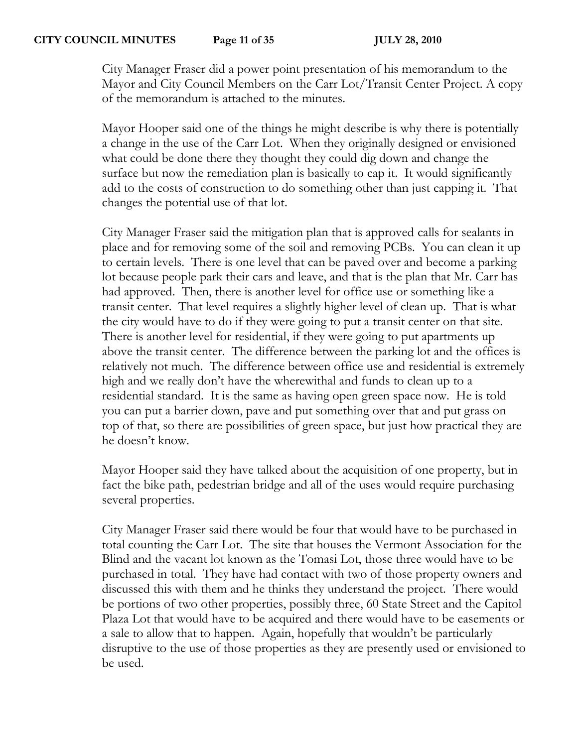City Manager Fraser did a power point presentation of his memorandum to the Mayor and City Council Members on the Carr Lot/Transit Center Project. A copy of the memorandum is attached to the minutes.

Mayor Hooper said one of the things he might describe is why there is potentially a change in the use of the Carr Lot. When they originally designed or envisioned what could be done there they thought they could dig down and change the surface but now the remediation plan is basically to cap it. It would significantly add to the costs of construction to do something other than just capping it. That changes the potential use of that lot.

City Manager Fraser said the mitigation plan that is approved calls for sealants in place and for removing some of the soil and removing PCBs. You can clean it up to certain levels. There is one level that can be paved over and become a parking lot because people park their cars and leave, and that is the plan that Mr. Carr has had approved. Then, there is another level for office use or something like a transit center. That level requires a slightly higher level of clean up. That is what the city would have to do if they were going to put a transit center on that site. There is another level for residential, if they were going to put apartments up above the transit center. The difference between the parking lot and the offices is relatively not much. The difference between office use and residential is extremely high and we really don't have the wherewithal and funds to clean up to a residential standard. It is the same as having open green space now. He is told you can put a barrier down, pave and put something over that and put grass on top of that, so there are possibilities of green space, but just how practical they are he doesn't know.

Mayor Hooper said they have talked about the acquisition of one property, but in fact the bike path, pedestrian bridge and all of the uses would require purchasing several properties.

City Manager Fraser said there would be four that would have to be purchased in total counting the Carr Lot. The site that houses the Vermont Association for the Blind and the vacant lot known as the Tomasi Lot, those three would have to be purchased in total. They have had contact with two of those property owners and discussed this with them and he thinks they understand the project. There would be portions of two other properties, possibly three, 60 State Street and the Capitol Plaza Lot that would have to be acquired and there would have to be easements or a sale to allow that to happen. Again, hopefully that wouldn't be particularly disruptive to the use of those properties as they are presently used or envisioned to be used.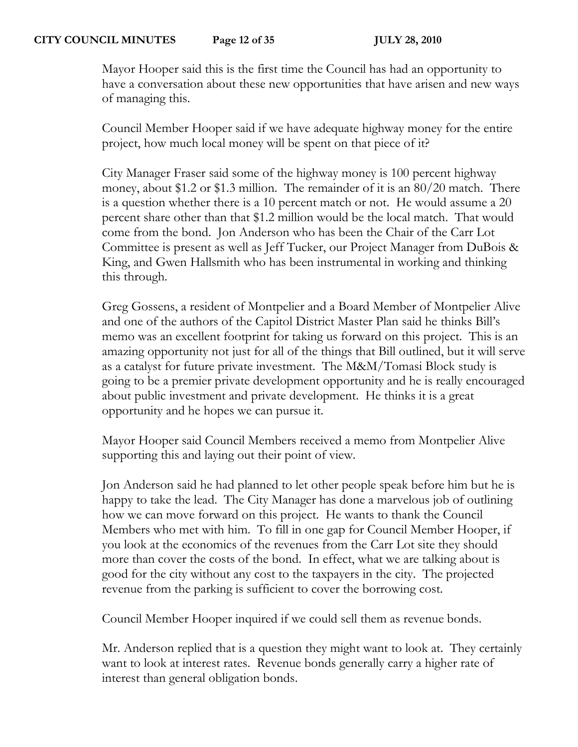Mayor Hooper said this is the first time the Council has had an opportunity to have a conversation about these new opportunities that have arisen and new ways of managing this.

Council Member Hooper said if we have adequate highway money for the entire project, how much local money will be spent on that piece of it?

City Manager Fraser said some of the highway money is 100 percent highway money, about \$1.2 or \$1.3 million. The remainder of it is an 80/20 match. There is a question whether there is a 10 percent match or not. He would assume a 20 percent share other than that \$1.2 million would be the local match. That would come from the bond. Jon Anderson who has been the Chair of the Carr Lot Committee is present as well as Jeff Tucker, our Project Manager from DuBois & King, and Gwen Hallsmith who has been instrumental in working and thinking this through.

Greg Gossens, a resident of Montpelier and a Board Member of Montpelier Alive and one of the authors of the Capitol District Master Plan said he thinks Bill's memo was an excellent footprint for taking us forward on this project. This is an amazing opportunity not just for all of the things that Bill outlined, but it will serve as a catalyst for future private investment. The M&M/Tomasi Block study is going to be a premier private development opportunity and he is really encouraged about public investment and private development. He thinks it is a great opportunity and he hopes we can pursue it.

Mayor Hooper said Council Members received a memo from Montpelier Alive supporting this and laying out their point of view.

Jon Anderson said he had planned to let other people speak before him but he is happy to take the lead. The City Manager has done a marvelous job of outlining how we can move forward on this project. He wants to thank the Council Members who met with him. To fill in one gap for Council Member Hooper, if you look at the economics of the revenues from the Carr Lot site they should more than cover the costs of the bond. In effect, what we are talking about is good for the city without any cost to the taxpayers in the city. The projected revenue from the parking is sufficient to cover the borrowing cost.

Council Member Hooper inquired if we could sell them as revenue bonds.

Mr. Anderson replied that is a question they might want to look at. They certainly want to look at interest rates. Revenue bonds generally carry a higher rate of interest than general obligation bonds.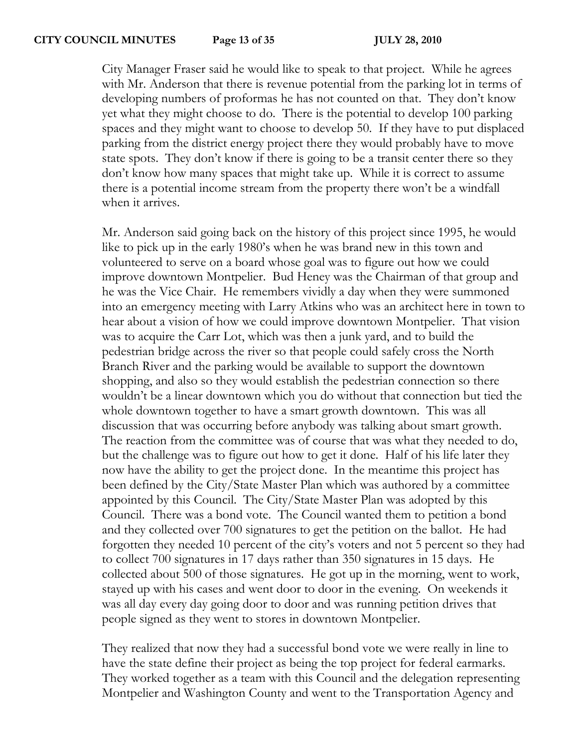City Manager Fraser said he would like to speak to that project. While he agrees with Mr. Anderson that there is revenue potential from the parking lot in terms of developing numbers of proformas he has not counted on that. They don't know yet what they might choose to do. There is the potential to develop 100 parking spaces and they might want to choose to develop 50. If they have to put displaced parking from the district energy project there they would probably have to move state spots. They don't know if there is going to be a transit center there so they don't know how many spaces that might take up. While it is correct to assume there is a potential income stream from the property there won't be a windfall when it arrives.

Mr. Anderson said going back on the history of this project since 1995, he would like to pick up in the early 1980's when he was brand new in this town and volunteered to serve on a board whose goal was to figure out how we could improve downtown Montpelier. Bud Heney was the Chairman of that group and he was the Vice Chair. He remembers vividly a day when they were summoned into an emergency meeting with Larry Atkins who was an architect here in town to hear about a vision of how we could improve downtown Montpelier. That vision was to acquire the Carr Lot, which was then a junk yard, and to build the pedestrian bridge across the river so that people could safely cross the North Branch River and the parking would be available to support the downtown shopping, and also so they would establish the pedestrian connection so there wouldn't be a linear downtown which you do without that connection but tied the whole downtown together to have a smart growth downtown. This was all discussion that was occurring before anybody was talking about smart growth. The reaction from the committee was of course that was what they needed to do, but the challenge was to figure out how to get it done. Half of his life later they now have the ability to get the project done. In the meantime this project has been defined by the City/State Master Plan which was authored by a committee appointed by this Council. The City/State Master Plan was adopted by this Council. There was a bond vote. The Council wanted them to petition a bond and they collected over 700 signatures to get the petition on the ballot. He had forgotten they needed 10 percent of the city's voters and not 5 percent so they had to collect 700 signatures in 17 days rather than 350 signatures in 15 days. He collected about 500 of those signatures. He got up in the morning, went to work, stayed up with his cases and went door to door in the evening. On weekends it was all day every day going door to door and was running petition drives that people signed as they went to stores in downtown Montpelier.

They realized that now they had a successful bond vote we were really in line to have the state define their project as being the top project for federal earmarks. They worked together as a team with this Council and the delegation representing Montpelier and Washington County and went to the Transportation Agency and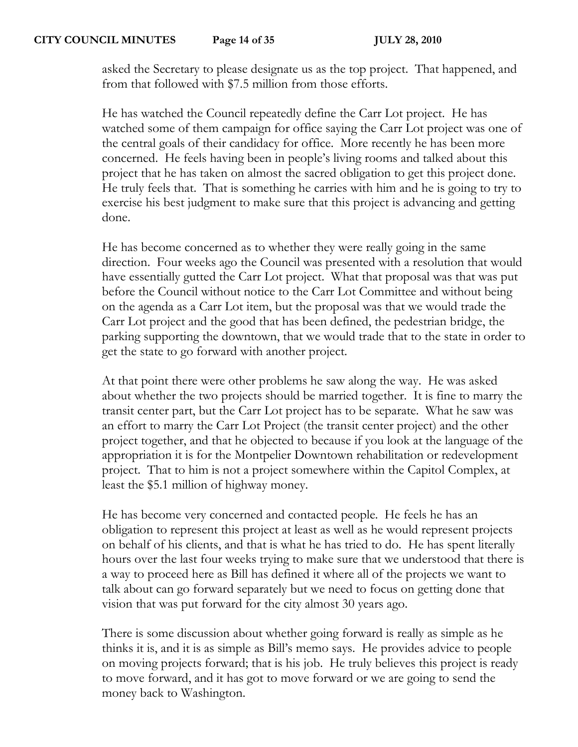asked the Secretary to please designate us as the top project. That happened, and from that followed with \$7.5 million from those efforts.

He has watched the Council repeatedly define the Carr Lot project. He has watched some of them campaign for office saying the Carr Lot project was one of the central goals of their candidacy for office. More recently he has been more concerned. He feels having been in people's living rooms and talked about this project that he has taken on almost the sacred obligation to get this project done. He truly feels that. That is something he carries with him and he is going to try to exercise his best judgment to make sure that this project is advancing and getting done.

He has become concerned as to whether they were really going in the same direction. Four weeks ago the Council was presented with a resolution that would have essentially gutted the Carr Lot project. What that proposal was that was put before the Council without notice to the Carr Lot Committee and without being on the agenda as a Carr Lot item, but the proposal was that we would trade the Carr Lot project and the good that has been defined, the pedestrian bridge, the parking supporting the downtown, that we would trade that to the state in order to get the state to go forward with another project.

At that point there were other problems he saw along the way. He was asked about whether the two projects should be married together. It is fine to marry the transit center part, but the Carr Lot project has to be separate. What he saw was an effort to marry the Carr Lot Project (the transit center project) and the other project together, and that he objected to because if you look at the language of the appropriation it is for the Montpelier Downtown rehabilitation or redevelopment project. That to him is not a project somewhere within the Capitol Complex, at least the \$5.1 million of highway money.

He has become very concerned and contacted people. He feels he has an obligation to represent this project at least as well as he would represent projects on behalf of his clients, and that is what he has tried to do. He has spent literally hours over the last four weeks trying to make sure that we understood that there is a way to proceed here as Bill has defined it where all of the projects we want to talk about can go forward separately but we need to focus on getting done that vision that was put forward for the city almost 30 years ago.

There is some discussion about whether going forward is really as simple as he thinks it is, and it is as simple as Bill's memo says. He provides advice to people on moving projects forward; that is his job. He truly believes this project is ready to move forward, and it has got to move forward or we are going to send the money back to Washington.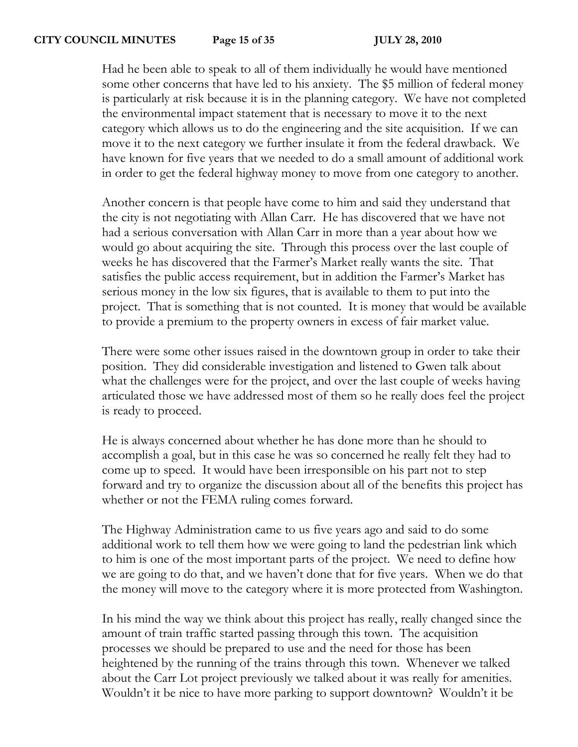Had he been able to speak to all of them individually he would have mentioned some other concerns that have led to his anxiety. The \$5 million of federal money is particularly at risk because it is in the planning category. We have not completed the environmental impact statement that is necessary to move it to the next category which allows us to do the engineering and the site acquisition. If we can move it to the next category we further insulate it from the federal drawback. We have known for five years that we needed to do a small amount of additional work in order to get the federal highway money to move from one category to another.

Another concern is that people have come to him and said they understand that the city is not negotiating with Allan Carr. He has discovered that we have not had a serious conversation with Allan Carr in more than a year about how we would go about acquiring the site. Through this process over the last couple of weeks he has discovered that the Farmer's Market really wants the site. That satisfies the public access requirement, but in addition the Farmer's Market has serious money in the low six figures, that is available to them to put into the project. That is something that is not counted. It is money that would be available to provide a premium to the property owners in excess of fair market value.

There were some other issues raised in the downtown group in order to take their position. They did considerable investigation and listened to Gwen talk about what the challenges were for the project, and over the last couple of weeks having articulated those we have addressed most of them so he really does feel the project is ready to proceed.

He is always concerned about whether he has done more than he should to accomplish a goal, but in this case he was so concerned he really felt they had to come up to speed. It would have been irresponsible on his part not to step forward and try to organize the discussion about all of the benefits this project has whether or not the FEMA ruling comes forward.

The Highway Administration came to us five years ago and said to do some additional work to tell them how we were going to land the pedestrian link which to him is one of the most important parts of the project. We need to define how we are going to do that, and we haven't done that for five years. When we do that the money will move to the category where it is more protected from Washington.

In his mind the way we think about this project has really, really changed since the amount of train traffic started passing through this town. The acquisition processes we should be prepared to use and the need for those has been heightened by the running of the trains through this town. Whenever we talked about the Carr Lot project previously we talked about it was really for amenities. Wouldn't it be nice to have more parking to support downtown? Wouldn't it be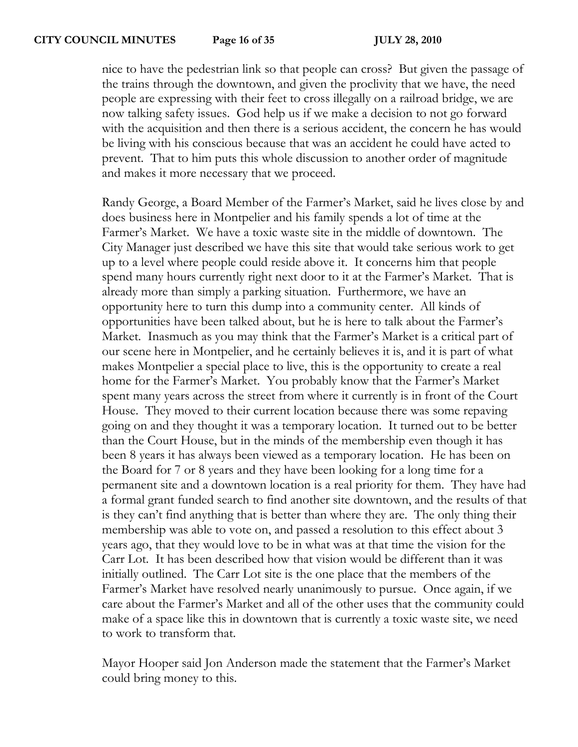nice to have the pedestrian link so that people can cross? But given the passage of the trains through the downtown, and given the proclivity that we have, the need people are expressing with their feet to cross illegally on a railroad bridge, we are now talking safety issues. God help us if we make a decision to not go forward with the acquisition and then there is a serious accident, the concern he has would be living with his conscious because that was an accident he could have acted to prevent. That to him puts this whole discussion to another order of magnitude and makes it more necessary that we proceed.

Randy George, a Board Member of the Farmer's Market, said he lives close by and does business here in Montpelier and his family spends a lot of time at the Farmer's Market. We have a toxic waste site in the middle of downtown. The City Manager just described we have this site that would take serious work to get up to a level where people could reside above it. It concerns him that people spend many hours currently right next door to it at the Farmer's Market. That is already more than simply a parking situation. Furthermore, we have an opportunity here to turn this dump into a community center. All kinds of opportunities have been talked about, but he is here to talk about the Farmer's Market. Inasmuch as you may think that the Farmer's Market is a critical part of our scene here in Montpelier, and he certainly believes it is, and it is part of what makes Montpelier a special place to live, this is the opportunity to create a real home for the Farmer's Market. You probably know that the Farmer's Market spent many years across the street from where it currently is in front of the Court House. They moved to their current location because there was some repaving going on and they thought it was a temporary location. It turned out to be better than the Court House, but in the minds of the membership even though it has been 8 years it has always been viewed as a temporary location. He has been on the Board for 7 or 8 years and they have been looking for a long time for a permanent site and a downtown location is a real priority for them. They have had a formal grant funded search to find another site downtown, and the results of that is they can't find anything that is better than where they are. The only thing their membership was able to vote on, and passed a resolution to this effect about 3 years ago, that they would love to be in what was at that time the vision for the Carr Lot. It has been described how that vision would be different than it was initially outlined. The Carr Lot site is the one place that the members of the Farmer's Market have resolved nearly unanimously to pursue. Once again, if we care about the Farmer's Market and all of the other uses that the community could make of a space like this in downtown that is currently a toxic waste site, we need to work to transform that.

Mayor Hooper said Jon Anderson made the statement that the Farmer's Market could bring money to this.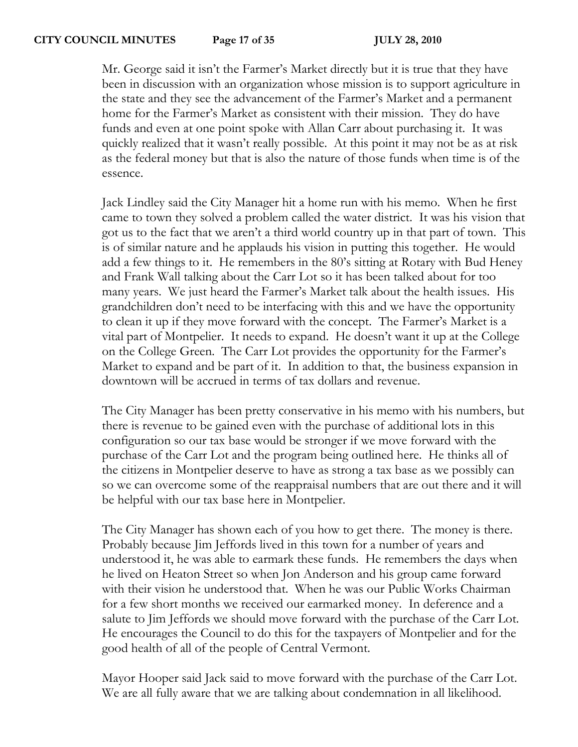Mr. George said it isn't the Farmer's Market directly but it is true that they have been in discussion with an organization whose mission is to support agriculture in the state and they see the advancement of the Farmer's Market and a permanent home for the Farmer's Market as consistent with their mission. They do have funds and even at one point spoke with Allan Carr about purchasing it. It was quickly realized that it wasn't really possible. At this point it may not be as at risk as the federal money but that is also the nature of those funds when time is of the essence.

Jack Lindley said the City Manager hit a home run with his memo. When he first came to town they solved a problem called the water district. It was his vision that got us to the fact that we aren't a third world country up in that part of town. This is of similar nature and he applauds his vision in putting this together. He would add a few things to it. He remembers in the 80's sitting at Rotary with Bud Heney and Frank Wall talking about the Carr Lot so it has been talked about for too many years. We just heard the Farmer's Market talk about the health issues. His grandchildren don't need to be interfacing with this and we have the opportunity to clean it up if they move forward with the concept. The Farmer's Market is a vital part of Montpelier. It needs to expand. He doesn't want it up at the College on the College Green. The Carr Lot provides the opportunity for the Farmer's Market to expand and be part of it. In addition to that, the business expansion in downtown will be accrued in terms of tax dollars and revenue.

The City Manager has been pretty conservative in his memo with his numbers, but there is revenue to be gained even with the purchase of additional lots in this configuration so our tax base would be stronger if we move forward with the purchase of the Carr Lot and the program being outlined here. He thinks all of the citizens in Montpelier deserve to have as strong a tax base as we possibly can so we can overcome some of the reappraisal numbers that are out there and it will be helpful with our tax base here in Montpelier.

The City Manager has shown each of you how to get there. The money is there. Probably because Jim Jeffords lived in this town for a number of years and understood it, he was able to earmark these funds. He remembers the days when he lived on Heaton Street so when Jon Anderson and his group came forward with their vision he understood that. When he was our Public Works Chairman for a few short months we received our earmarked money. In deference and a salute to Jim Jeffords we should move forward with the purchase of the Carr Lot. He encourages the Council to do this for the taxpayers of Montpelier and for the good health of all of the people of Central Vermont.

Mayor Hooper said Jack said to move forward with the purchase of the Carr Lot. We are all fully aware that we are talking about condemnation in all likelihood.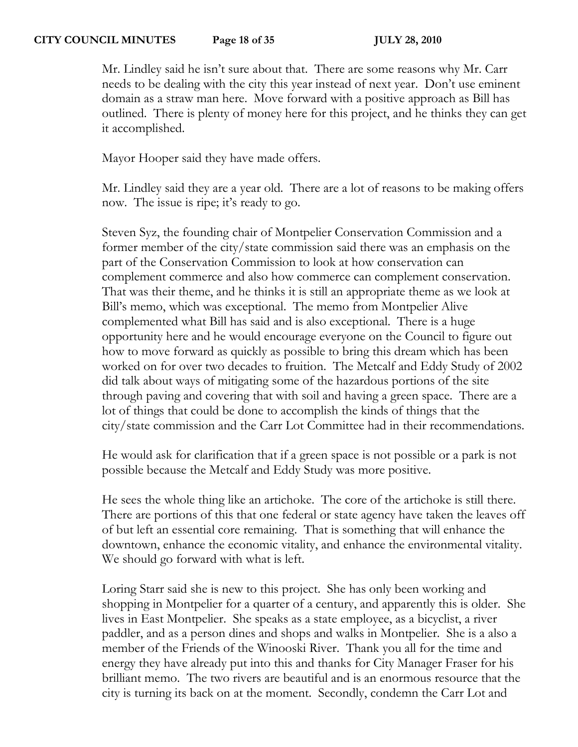Mr. Lindley said he isn't sure about that. There are some reasons why Mr. Carr needs to be dealing with the city this year instead of next year. Don't use eminent domain as a straw man here. Move forward with a positive approach as Bill has outlined. There is plenty of money here for this project, and he thinks they can get it accomplished.

Mayor Hooper said they have made offers.

Mr. Lindley said they are a year old. There are a lot of reasons to be making offers now. The issue is ripe; it's ready to go.

Steven Syz, the founding chair of Montpelier Conservation Commission and a former member of the city/state commission said there was an emphasis on the part of the Conservation Commission to look at how conservation can complement commerce and also how commerce can complement conservation. That was their theme, and he thinks it is still an appropriate theme as we look at Bill's memo, which was exceptional. The memo from Montpelier Alive complemented what Bill has said and is also exceptional. There is a huge opportunity here and he would encourage everyone on the Council to figure out how to move forward as quickly as possible to bring this dream which has been worked on for over two decades to fruition. The Metcalf and Eddy Study of 2002 did talk about ways of mitigating some of the hazardous portions of the site through paving and covering that with soil and having a green space. There are a lot of things that could be done to accomplish the kinds of things that the city/state commission and the Carr Lot Committee had in their recommendations.

He would ask for clarification that if a green space is not possible or a park is not possible because the Metcalf and Eddy Study was more positive.

He sees the whole thing like an artichoke. The core of the artichoke is still there. There are portions of this that one federal or state agency have taken the leaves off of but left an essential core remaining. That is something that will enhance the downtown, enhance the economic vitality, and enhance the environmental vitality. We should go forward with what is left.

Loring Starr said she is new to this project. She has only been working and shopping in Montpelier for a quarter of a century, and apparently this is older. She lives in East Montpelier. She speaks as a state employee, as a bicyclist, a river paddler, and as a person dines and shops and walks in Montpelier. She is a also a member of the Friends of the Winooski River. Thank you all for the time and energy they have already put into this and thanks for City Manager Fraser for his brilliant memo. The two rivers are beautiful and is an enormous resource that the city is turning its back on at the moment. Secondly, condemn the Carr Lot and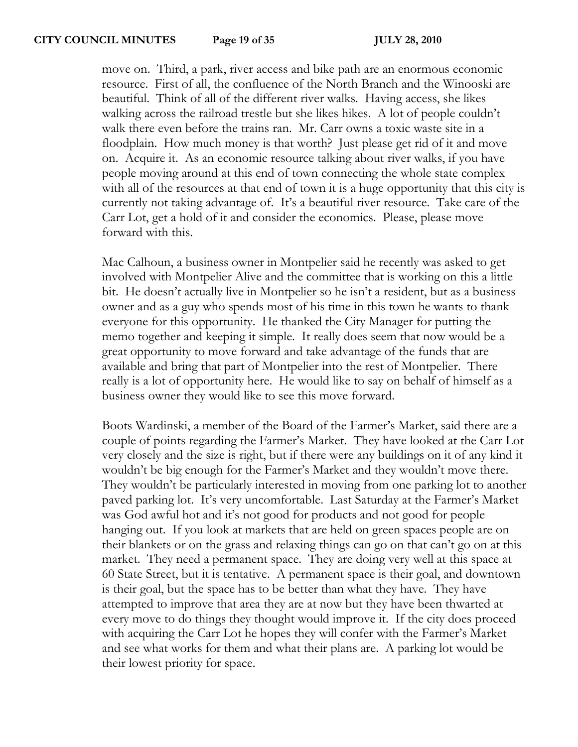move on. Third, a park, river access and bike path are an enormous economic resource. First of all, the confluence of the North Branch and the Winooski are beautiful. Think of all of the different river walks. Having access, she likes walking across the railroad trestle but she likes hikes. A lot of people couldn't walk there even before the trains ran. Mr. Carr owns a toxic waste site in a floodplain. How much money is that worth? Just please get rid of it and move on. Acquire it. As an economic resource talking about river walks, if you have people moving around at this end of town connecting the whole state complex with all of the resources at that end of town it is a huge opportunity that this city is currently not taking advantage of. It's a beautiful river resource. Take care of the Carr Lot, get a hold of it and consider the economics. Please, please move forward with this.

Mac Calhoun, a business owner in Montpelier said he recently was asked to get involved with Montpelier Alive and the committee that is working on this a little bit. He doesn't actually live in Montpelier so he isn't a resident, but as a business owner and as a guy who spends most of his time in this town he wants to thank everyone for this opportunity. He thanked the City Manager for putting the memo together and keeping it simple. It really does seem that now would be a great opportunity to move forward and take advantage of the funds that are available and bring that part of Montpelier into the rest of Montpelier. There really is a lot of opportunity here. He would like to say on behalf of himself as a business owner they would like to see this move forward.

Boots Wardinski, a member of the Board of the Farmer's Market, said there are a couple of points regarding the Farmer's Market. They have looked at the Carr Lot very closely and the size is right, but if there were any buildings on it of any kind it wouldn't be big enough for the Farmer's Market and they wouldn't move there. They wouldn't be particularly interested in moving from one parking lot to another paved parking lot. It's very uncomfortable. Last Saturday at the Farmer's Market was God awful hot and it's not good for products and not good for people hanging out. If you look at markets that are held on green spaces people are on their blankets or on the grass and relaxing things can go on that can't go on at this market. They need a permanent space. They are doing very well at this space at 60 State Street, but it is tentative. A permanent space is their goal, and downtown is their goal, but the space has to be better than what they have. They have attempted to improve that area they are at now but they have been thwarted at every move to do things they thought would improve it. If the city does proceed with acquiring the Carr Lot he hopes they will confer with the Farmer's Market and see what works for them and what their plans are. A parking lot would be their lowest priority for space.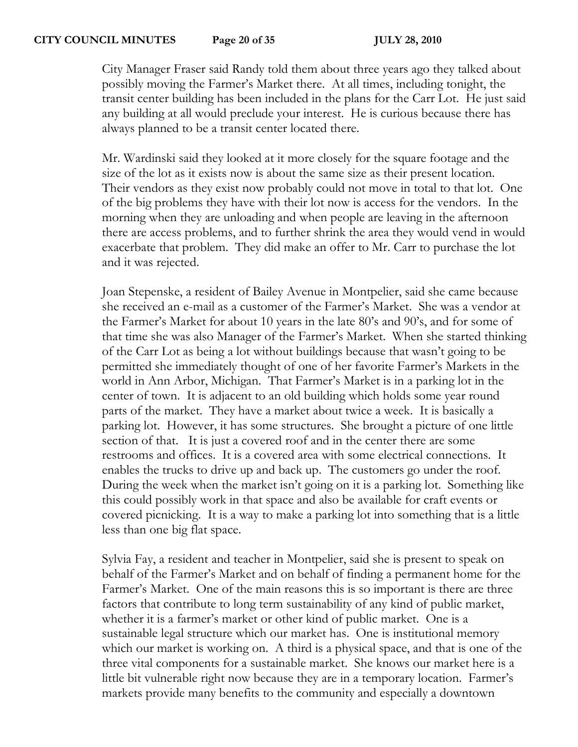City Manager Fraser said Randy told them about three years ago they talked about possibly moving the Farmer's Market there. At all times, including tonight, the transit center building has been included in the plans for the Carr Lot. He just said any building at all would preclude your interest. He is curious because there has always planned to be a transit center located there.

Mr. Wardinski said they looked at it more closely for the square footage and the size of the lot as it exists now is about the same size as their present location. Their vendors as they exist now probably could not move in total to that lot. One of the big problems they have with their lot now is access for the vendors. In the morning when they are unloading and when people are leaving in the afternoon there are access problems, and to further shrink the area they would vend in would exacerbate that problem. They did make an offer to Mr. Carr to purchase the lot and it was rejected.

Joan Stepenske, a resident of Bailey Avenue in Montpelier, said she came because she received an e-mail as a customer of the Farmer's Market. She was a vendor at the Farmer's Market for about 10 years in the late 80's and 90's, and for some of that time she was also Manager of the Farmer's Market. When she started thinking of the Carr Lot as being a lot without buildings because that wasn't going to be permitted she immediately thought of one of her favorite Farmer's Markets in the world in Ann Arbor, Michigan. That Farmer's Market is in a parking lot in the center of town. It is adjacent to an old building which holds some year round parts of the market. They have a market about twice a week. It is basically a parking lot. However, it has some structures. She brought a picture of one little section of that. It is just a covered roof and in the center there are some restrooms and offices. It is a covered area with some electrical connections. It enables the trucks to drive up and back up. The customers go under the roof. During the week when the market isn't going on it is a parking lot. Something like this could possibly work in that space and also be available for craft events or covered picnicking. It is a way to make a parking lot into something that is a little less than one big flat space.

Sylvia Fay, a resident and teacher in Montpelier, said she is present to speak on behalf of the Farmer's Market and on behalf of finding a permanent home for the Farmer's Market. One of the main reasons this is so important is there are three factors that contribute to long term sustainability of any kind of public market, whether it is a farmer's market or other kind of public market. One is a sustainable legal structure which our market has. One is institutional memory which our market is working on. A third is a physical space, and that is one of the three vital components for a sustainable market. She knows our market here is a little bit vulnerable right now because they are in a temporary location. Farmer's markets provide many benefits to the community and especially a downtown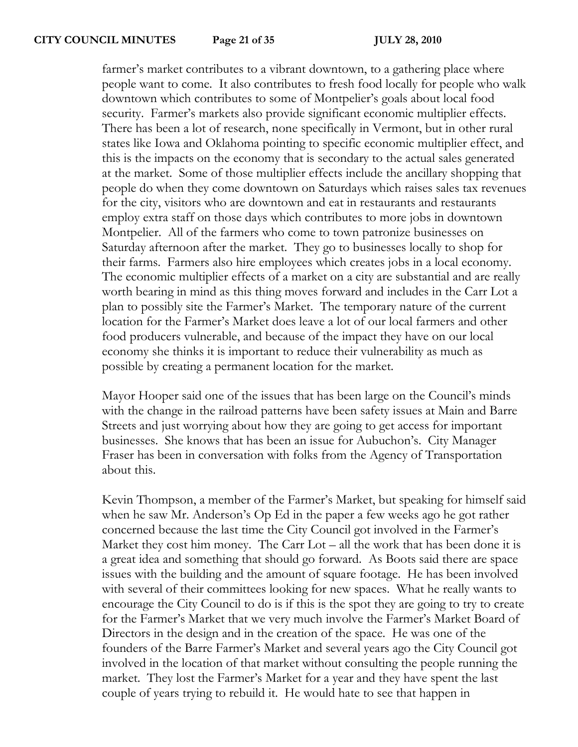farmer's market contributes to a vibrant downtown, to a gathering place where people want to come. It also contributes to fresh food locally for people who walk downtown which contributes to some of Montpelier's goals about local food security. Farmer's markets also provide significant economic multiplier effects. There has been a lot of research, none specifically in Vermont, but in other rural states like Iowa and Oklahoma pointing to specific economic multiplier effect, and this is the impacts on the economy that is secondary to the actual sales generated at the market. Some of those multiplier effects include the ancillary shopping that people do when they come downtown on Saturdays which raises sales tax revenues for the city, visitors who are downtown and eat in restaurants and restaurants employ extra staff on those days which contributes to more jobs in downtown Montpelier. All of the farmers who come to town patronize businesses on Saturday afternoon after the market. They go to businesses locally to shop for their farms. Farmers also hire employees which creates jobs in a local economy. The economic multiplier effects of a market on a city are substantial and are really worth bearing in mind as this thing moves forward and includes in the Carr Lot a plan to possibly site the Farmer's Market. The temporary nature of the current location for the Farmer's Market does leave a lot of our local farmers and other food producers vulnerable, and because of the impact they have on our local economy she thinks it is important to reduce their vulnerability as much as possible by creating a permanent location for the market.

Mayor Hooper said one of the issues that has been large on the Council's minds with the change in the railroad patterns have been safety issues at Main and Barre Streets and just worrying about how they are going to get access for important businesses. She knows that has been an issue for Aubuchon's. City Manager Fraser has been in conversation with folks from the Agency of Transportation about this.

Kevin Thompson, a member of the Farmer's Market, but speaking for himself said when he saw Mr. Anderson's Op Ed in the paper a few weeks ago he got rather concerned because the last time the City Council got involved in the Farmer's Market they cost him money. The Carr  $Lot - all$  the work that has been done it is a great idea and something that should go forward. As Boots said there are space issues with the building and the amount of square footage. He has been involved with several of their committees looking for new spaces. What he really wants to encourage the City Council to do is if this is the spot they are going to try to create for the Farmer's Market that we very much involve the Farmer's Market Board of Directors in the design and in the creation of the space. He was one of the founders of the Barre Farmer's Market and several years ago the City Council got involved in the location of that market without consulting the people running the market. They lost the Farmer's Market for a year and they have spent the last couple of years trying to rebuild it. He would hate to see that happen in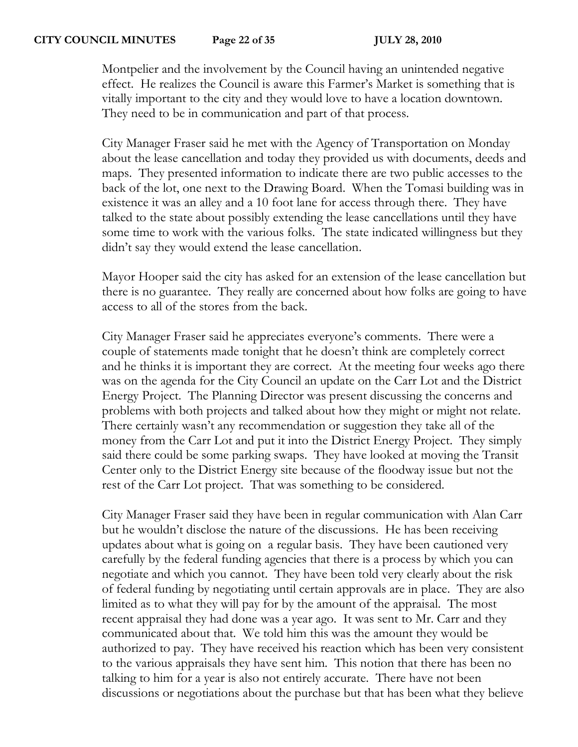Montpelier and the involvement by the Council having an unintended negative effect. He realizes the Council is aware this Farmer's Market is something that is vitally important to the city and they would love to have a location downtown. They need to be in communication and part of that process.

City Manager Fraser said he met with the Agency of Transportation on Monday about the lease cancellation and today they provided us with documents, deeds and maps. They presented information to indicate there are two public accesses to the back of the lot, one next to the Drawing Board. When the Tomasi building was in existence it was an alley and a 10 foot lane for access through there. They have talked to the state about possibly extending the lease cancellations until they have some time to work with the various folks. The state indicated willingness but they didn't say they would extend the lease cancellation.

Mayor Hooper said the city has asked for an extension of the lease cancellation but there is no guarantee. They really are concerned about how folks are going to have access to all of the stores from the back.

City Manager Fraser said he appreciates everyone's comments. There were a couple of statements made tonight that he doesn't think are completely correct and he thinks it is important they are correct. At the meeting four weeks ago there was on the agenda for the City Council an update on the Carr Lot and the District Energy Project. The Planning Director was present discussing the concerns and problems with both projects and talked about how they might or might not relate. There certainly wasn't any recommendation or suggestion they take all of the money from the Carr Lot and put it into the District Energy Project. They simply said there could be some parking swaps. They have looked at moving the Transit Center only to the District Energy site because of the floodway issue but not the rest of the Carr Lot project. That was something to be considered.

City Manager Fraser said they have been in regular communication with Alan Carr but he wouldn't disclose the nature of the discussions. He has been receiving updates about what is going on a regular basis. They have been cautioned very carefully by the federal funding agencies that there is a process by which you can negotiate and which you cannot. They have been told very clearly about the risk of federal funding by negotiating until certain approvals are in place. They are also limited as to what they will pay for by the amount of the appraisal. The most recent appraisal they had done was a year ago. It was sent to Mr. Carr and they communicated about that. We told him this was the amount they would be authorized to pay. They have received his reaction which has been very consistent to the various appraisals they have sent him. This notion that there has been no talking to him for a year is also not entirely accurate. There have not been discussions or negotiations about the purchase but that has been what they believe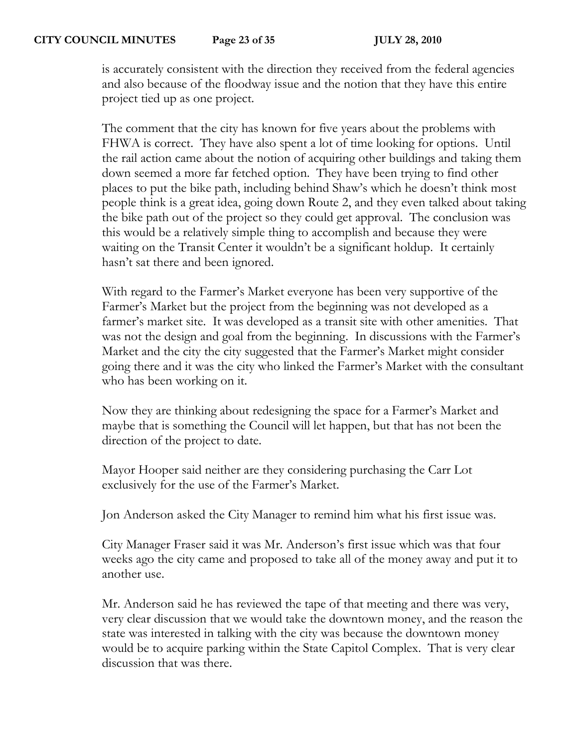is accurately consistent with the direction they received from the federal agencies and also because of the floodway issue and the notion that they have this entire project tied up as one project.

The comment that the city has known for five years about the problems with FHWA is correct. They have also spent a lot of time looking for options. Until the rail action came about the notion of acquiring other buildings and taking them down seemed a more far fetched option. They have been trying to find other places to put the bike path, including behind Shaw's which he doesn't think most people think is a great idea, going down Route 2, and they even talked about taking the bike path out of the project so they could get approval. The conclusion was this would be a relatively simple thing to accomplish and because they were waiting on the Transit Center it wouldn't be a significant holdup. It certainly hasn't sat there and been ignored.

With regard to the Farmer's Market everyone has been very supportive of the Farmer's Market but the project from the beginning was not developed as a farmer's market site. It was developed as a transit site with other amenities. That was not the design and goal from the beginning. In discussions with the Farmer's Market and the city the city suggested that the Farmer's Market might consider going there and it was the city who linked the Farmer's Market with the consultant who has been working on it.

Now they are thinking about redesigning the space for a Farmer's Market and maybe that is something the Council will let happen, but that has not been the direction of the project to date.

Mayor Hooper said neither are they considering purchasing the Carr Lot exclusively for the use of the Farmer's Market.

Jon Anderson asked the City Manager to remind him what his first issue was.

City Manager Fraser said it was Mr. Anderson's first issue which was that four weeks ago the city came and proposed to take all of the money away and put it to another use.

Mr. Anderson said he has reviewed the tape of that meeting and there was very, very clear discussion that we would take the downtown money, and the reason the state was interested in talking with the city was because the downtown money would be to acquire parking within the State Capitol Complex. That is very clear discussion that was there.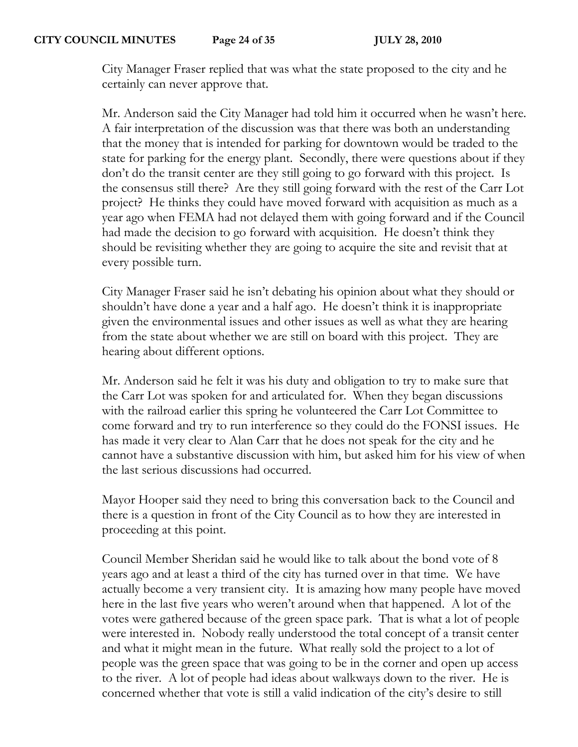City Manager Fraser replied that was what the state proposed to the city and he certainly can never approve that.

Mr. Anderson said the City Manager had told him it occurred when he wasn't here. A fair interpretation of the discussion was that there was both an understanding that the money that is intended for parking for downtown would be traded to the state for parking for the energy plant. Secondly, there were questions about if they don't do the transit center are they still going to go forward with this project. Is the consensus still there? Are they still going forward with the rest of the Carr Lot project? He thinks they could have moved forward with acquisition as much as a year ago when FEMA had not delayed them with going forward and if the Council had made the decision to go forward with acquisition. He doesn't think they should be revisiting whether they are going to acquire the site and revisit that at every possible turn.

City Manager Fraser said he isn't debating his opinion about what they should or shouldn't have done a year and a half ago. He doesn't think it is inappropriate given the environmental issues and other issues as well as what they are hearing from the state about whether we are still on board with this project. They are hearing about different options.

Mr. Anderson said he felt it was his duty and obligation to try to make sure that the Carr Lot was spoken for and articulated for. When they began discussions with the railroad earlier this spring he volunteered the Carr Lot Committee to come forward and try to run interference so they could do the FONSI issues. He has made it very clear to Alan Carr that he does not speak for the city and he cannot have a substantive discussion with him, but asked him for his view of when the last serious discussions had occurred.

Mayor Hooper said they need to bring this conversation back to the Council and there is a question in front of the City Council as to how they are interested in proceeding at this point.

Council Member Sheridan said he would like to talk about the bond vote of 8 years ago and at least a third of the city has turned over in that time. We have actually become a very transient city. It is amazing how many people have moved here in the last five years who weren't around when that happened. A lot of the votes were gathered because of the green space park. That is what a lot of people were interested in. Nobody really understood the total concept of a transit center and what it might mean in the future. What really sold the project to a lot of people was the green space that was going to be in the corner and open up access to the river. A lot of people had ideas about walkways down to the river. He is concerned whether that vote is still a valid indication of the city's desire to still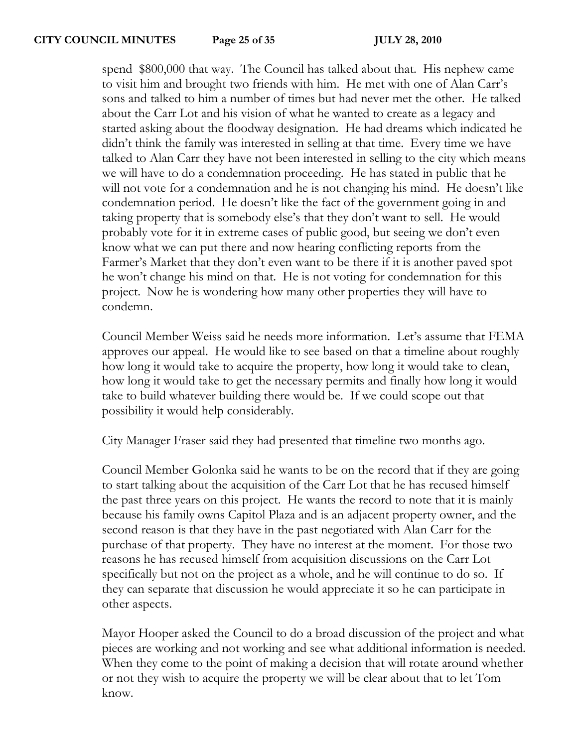spend \$800,000 that way. The Council has talked about that. His nephew came to visit him and brought two friends with him. He met with one of Alan Carr's sons and talked to him a number of times but had never met the other. He talked about the Carr Lot and his vision of what he wanted to create as a legacy and started asking about the floodway designation. He had dreams which indicated he didn't think the family was interested in selling at that time. Every time we have talked to Alan Carr they have not been interested in selling to the city which means we will have to do a condemnation proceeding. He has stated in public that he will not vote for a condemnation and he is not changing his mind. He doesn't like condemnation period. He doesn't like the fact of the government going in and taking property that is somebody else's that they don't want to sell. He would probably vote for it in extreme cases of public good, but seeing we don't even know what we can put there and now hearing conflicting reports from the Farmer's Market that they don't even want to be there if it is another paved spot he won't change his mind on that. He is not voting for condemnation for this project. Now he is wondering how many other properties they will have to condemn.

Council Member Weiss said he needs more information. Let's assume that FEMA approves our appeal. He would like to see based on that a timeline about roughly how long it would take to acquire the property, how long it would take to clean, how long it would take to get the necessary permits and finally how long it would take to build whatever building there would be. If we could scope out that possibility it would help considerably.

City Manager Fraser said they had presented that timeline two months ago.

Council Member Golonka said he wants to be on the record that if they are going to start talking about the acquisition of the Carr Lot that he has recused himself the past three years on this project. He wants the record to note that it is mainly because his family owns Capitol Plaza and is an adjacent property owner, and the second reason is that they have in the past negotiated with Alan Carr for the purchase of that property. They have no interest at the moment. For those two reasons he has recused himself from acquisition discussions on the Carr Lot specifically but not on the project as a whole, and he will continue to do so. If they can separate that discussion he would appreciate it so he can participate in other aspects.

Mayor Hooper asked the Council to do a broad discussion of the project and what pieces are working and not working and see what additional information is needed. When they come to the point of making a decision that will rotate around whether or not they wish to acquire the property we will be clear about that to let Tom know.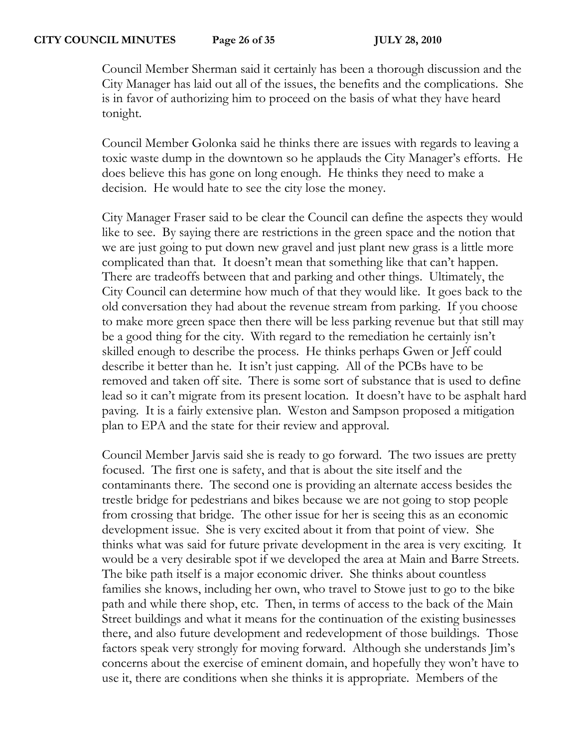Council Member Sherman said it certainly has been a thorough discussion and the City Manager has laid out all of the issues, the benefits and the complications. She is in favor of authorizing him to proceed on the basis of what they have heard tonight.

Council Member Golonka said he thinks there are issues with regards to leaving a toxic waste dump in the downtown so he applauds the City Manager's efforts. He does believe this has gone on long enough. He thinks they need to make a decision. He would hate to see the city lose the money.

City Manager Fraser said to be clear the Council can define the aspects they would like to see. By saying there are restrictions in the green space and the notion that we are just going to put down new gravel and just plant new grass is a little more complicated than that. It doesn't mean that something like that can't happen. There are tradeoffs between that and parking and other things. Ultimately, the City Council can determine how much of that they would like. It goes back to the old conversation they had about the revenue stream from parking. If you choose to make more green space then there will be less parking revenue but that still may be a good thing for the city. With regard to the remediation he certainly isn't skilled enough to describe the process. He thinks perhaps Gwen or Jeff could describe it better than he. It isn't just capping. All of the PCBs have to be removed and taken off site. There is some sort of substance that is used to define lead so it can't migrate from its present location. It doesn't have to be asphalt hard paving. It is a fairly extensive plan. Weston and Sampson proposed a mitigation plan to EPA and the state for their review and approval.

Council Member Jarvis said she is ready to go forward. The two issues are pretty focused. The first one is safety, and that is about the site itself and the contaminants there. The second one is providing an alternate access besides the trestle bridge for pedestrians and bikes because we are not going to stop people from crossing that bridge. The other issue for her is seeing this as an economic development issue. She is very excited about it from that point of view. She thinks what was said for future private development in the area is very exciting. It would be a very desirable spot if we developed the area at Main and Barre Streets. The bike path itself is a major economic driver. She thinks about countless families she knows, including her own, who travel to Stowe just to go to the bike path and while there shop, etc. Then, in terms of access to the back of the Main Street buildings and what it means for the continuation of the existing businesses there, and also future development and redevelopment of those buildings. Those factors speak very strongly for moving forward. Although she understands Jim's concerns about the exercise of eminent domain, and hopefully they won't have to use it, there are conditions when she thinks it is appropriate. Members of the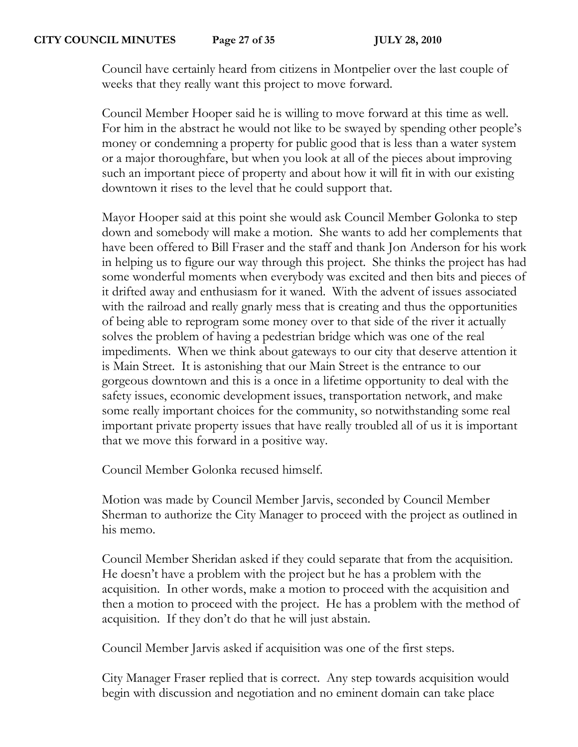Council have certainly heard from citizens in Montpelier over the last couple of weeks that they really want this project to move forward.

Council Member Hooper said he is willing to move forward at this time as well. For him in the abstract he would not like to be swayed by spending other people's money or condemning a property for public good that is less than a water system or a major thoroughfare, but when you look at all of the pieces about improving such an important piece of property and about how it will fit in with our existing downtown it rises to the level that he could support that.

Mayor Hooper said at this point she would ask Council Member Golonka to step down and somebody will make a motion. She wants to add her complements that have been offered to Bill Fraser and the staff and thank Jon Anderson for his work in helping us to figure our way through this project. She thinks the project has had some wonderful moments when everybody was excited and then bits and pieces of it drifted away and enthusiasm for it waned. With the advent of issues associated with the railroad and really gnarly mess that is creating and thus the opportunities of being able to reprogram some money over to that side of the river it actually solves the problem of having a pedestrian bridge which was one of the real impediments. When we think about gateways to our city that deserve attention it is Main Street. It is astonishing that our Main Street is the entrance to our gorgeous downtown and this is a once in a lifetime opportunity to deal with the safety issues, economic development issues, transportation network, and make some really important choices for the community, so notwithstanding some real important private property issues that have really troubled all of us it is important that we move this forward in a positive way.

Council Member Golonka recused himself.

Motion was made by Council Member Jarvis, seconded by Council Member Sherman to authorize the City Manager to proceed with the project as outlined in his memo.

Council Member Sheridan asked if they could separate that from the acquisition. He doesn't have a problem with the project but he has a problem with the acquisition. In other words, make a motion to proceed with the acquisition and then a motion to proceed with the project. He has a problem with the method of acquisition. If they don't do that he will just abstain.

Council Member Jarvis asked if acquisition was one of the first steps.

City Manager Fraser replied that is correct. Any step towards acquisition would begin with discussion and negotiation and no eminent domain can take place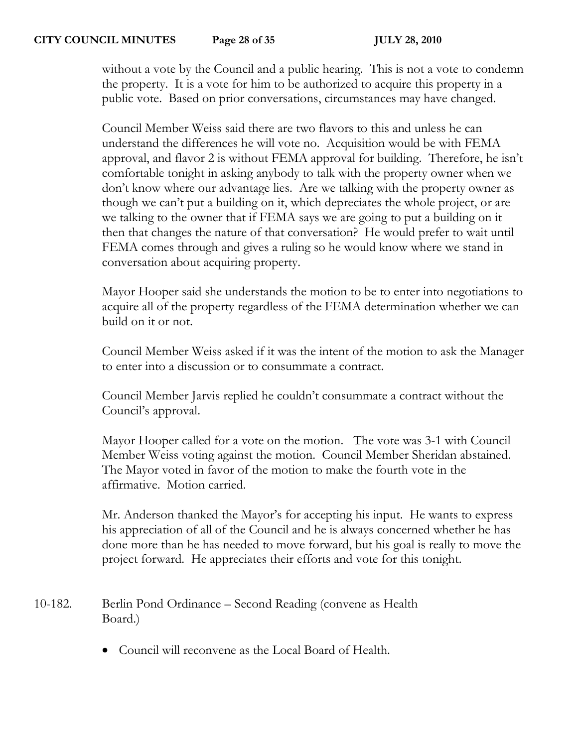without a vote by the Council and a public hearing. This is not a vote to condemn the property. It is a vote for him to be authorized to acquire this property in a public vote. Based on prior conversations, circumstances may have changed.

Council Member Weiss said there are two flavors to this and unless he can understand the differences he will vote no. Acquisition would be with FEMA approval, and flavor 2 is without FEMA approval for building. Therefore, he isn't comfortable tonight in asking anybody to talk with the property owner when we don't know where our advantage lies. Are we talking with the property owner as though we can't put a building on it, which depreciates the whole project, or are we talking to the owner that if FEMA says we are going to put a building on it then that changes the nature of that conversation? He would prefer to wait until FEMA comes through and gives a ruling so he would know where we stand in conversation about acquiring property.

Mayor Hooper said she understands the motion to be to enter into negotiations to acquire all of the property regardless of the FEMA determination whether we can build on it or not.

Council Member Weiss asked if it was the intent of the motion to ask the Manager to enter into a discussion or to consummate a contract.

Council Member Jarvis replied he couldn't consummate a contract without the Council's approval.

Mayor Hooper called for a vote on the motion. The vote was 3-1 with Council Member Weiss voting against the motion. Council Member Sheridan abstained. The Mayor voted in favor of the motion to make the fourth vote in the affirmative. Motion carried.

Mr. Anderson thanked the Mayor's for accepting his input. He wants to express his appreciation of all of the Council and he is always concerned whether he has done more than he has needed to move forward, but his goal is really to move the project forward. He appreciates their efforts and vote for this tonight.

```
10-182. Berlin Pond Ordinance – Second Reading (convene as Health 
Board.)
```
• Council will reconvene as the Local Board of Health.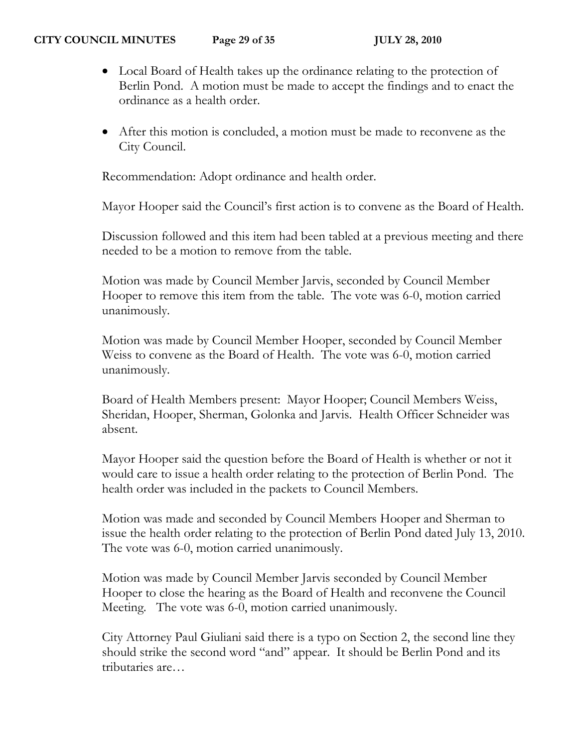- Local Board of Health takes up the ordinance relating to the protection of Berlin Pond. A motion must be made to accept the findings and to enact the ordinance as a health order.
- After this motion is concluded, a motion must be made to reconvene as the City Council.

Recommendation: Adopt ordinance and health order.

Mayor Hooper said the Council's first action is to convene as the Board of Health.

Discussion followed and this item had been tabled at a previous meeting and there needed to be a motion to remove from the table.

Motion was made by Council Member Jarvis, seconded by Council Member Hooper to remove this item from the table. The vote was 6-0, motion carried unanimously.

Motion was made by Council Member Hooper, seconded by Council Member Weiss to convene as the Board of Health. The vote was 6-0, motion carried unanimously.

Board of Health Members present: Mayor Hooper; Council Members Weiss, Sheridan, Hooper, Sherman, Golonka and Jarvis. Health Officer Schneider was absent.

Mayor Hooper said the question before the Board of Health is whether or not it would care to issue a health order relating to the protection of Berlin Pond. The health order was included in the packets to Council Members.

Motion was made and seconded by Council Members Hooper and Sherman to issue the health order relating to the protection of Berlin Pond dated July 13, 2010. The vote was 6-0, motion carried unanimously.

Motion was made by Council Member Jarvis seconded by Council Member Hooper to close the hearing as the Board of Health and reconvene the Council Meeting. The vote was 6-0, motion carried unanimously.

City Attorney Paul Giuliani said there is a typo on Section 2, the second line they should strike the second word "and" appear. It should be Berlin Pond and its tributaries are…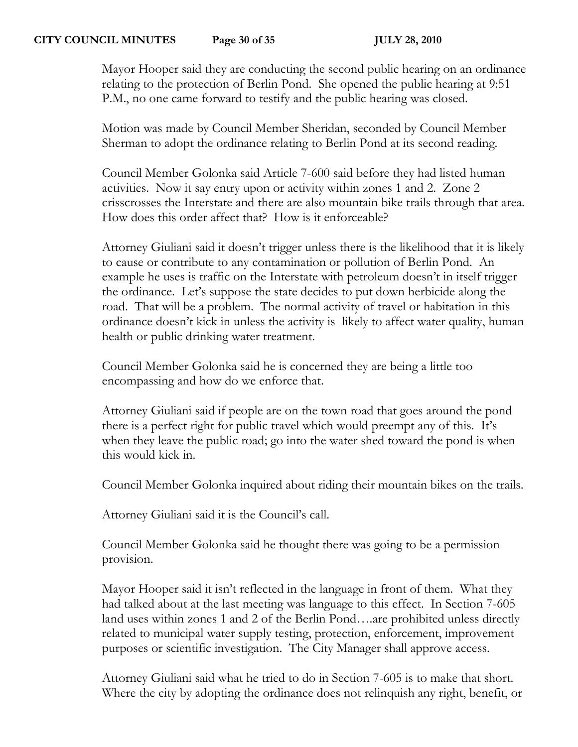Mayor Hooper said they are conducting the second public hearing on an ordinance relating to the protection of Berlin Pond. She opened the public hearing at 9:51 P.M., no one came forward to testify and the public hearing was closed.

Motion was made by Council Member Sheridan, seconded by Council Member Sherman to adopt the ordinance relating to Berlin Pond at its second reading.

Council Member Golonka said Article 7-600 said before they had listed human activities. Now it say entry upon or activity within zones 1 and 2. Zone 2 crisscrosses the Interstate and there are also mountain bike trails through that area. How does this order affect that? How is it enforceable?

Attorney Giuliani said it doesn't trigger unless there is the likelihood that it is likely to cause or contribute to any contamination or pollution of Berlin Pond. An example he uses is traffic on the Interstate with petroleum doesn't in itself trigger the ordinance. Let's suppose the state decides to put down herbicide along the road. That will be a problem. The normal activity of travel or habitation in this ordinance doesn't kick in unless the activity is likely to affect water quality, human health or public drinking water treatment.

Council Member Golonka said he is concerned they are being a little too encompassing and how do we enforce that.

Attorney Giuliani said if people are on the town road that goes around the pond there is a perfect right for public travel which would preempt any of this. It's when they leave the public road; go into the water shed toward the pond is when this would kick in.

Council Member Golonka inquired about riding their mountain bikes on the trails.

Attorney Giuliani said it is the Council's call.

Council Member Golonka said he thought there was going to be a permission provision.

Mayor Hooper said it isn't reflected in the language in front of them. What they had talked about at the last meeting was language to this effect. In Section 7-605 land uses within zones 1 and 2 of the Berlin Pond….are prohibited unless directly related to municipal water supply testing, protection, enforcement, improvement purposes or scientific investigation. The City Manager shall approve access.

Attorney Giuliani said what he tried to do in Section 7-605 is to make that short. Where the city by adopting the ordinance does not relinquish any right, benefit, or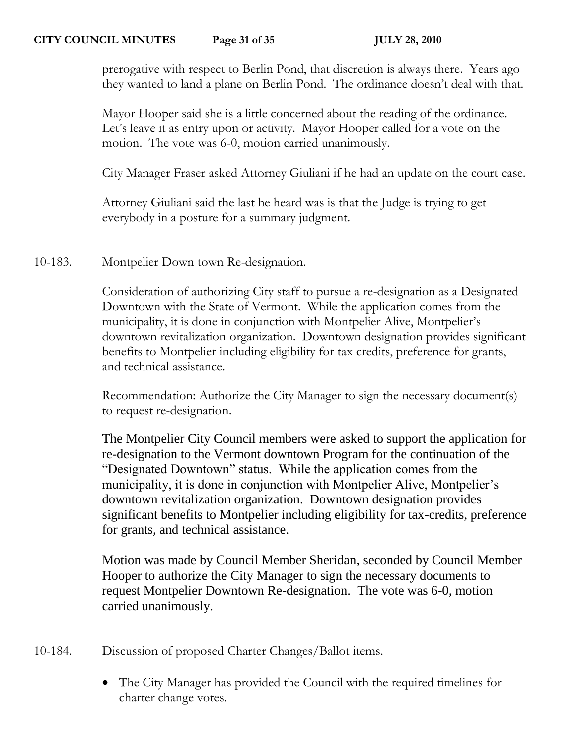prerogative with respect to Berlin Pond, that discretion is always there. Years ago they wanted to land a plane on Berlin Pond. The ordinance doesn't deal with that.

Mayor Hooper said she is a little concerned about the reading of the ordinance. Let's leave it as entry upon or activity. Mayor Hooper called for a vote on the motion. The vote was 6-0, motion carried unanimously.

City Manager Fraser asked Attorney Giuliani if he had an update on the court case.

Attorney Giuliani said the last he heard was is that the Judge is trying to get everybody in a posture for a summary judgment.

## 10-183. Montpelier Down town Re-designation.

Consideration of authorizing City staff to pursue a re-designation as a Designated Downtown with the State of Vermont. While the application comes from the municipality, it is done in conjunction with Montpelier Alive, Montpelier's downtown revitalization organization. Downtown designation provides significant benefits to Montpelier including eligibility for tax credits, preference for grants, and technical assistance.

Recommendation: Authorize the City Manager to sign the necessary document(s) to request re-designation.

The Montpelier City Council members were asked to support the application for re-designation to the Vermont downtown Program for the continuation of the "Designated Downtown" status. While the application comes from the municipality, it is done in conjunction with Montpelier Alive, Montpelier's downtown revitalization organization. Downtown designation provides significant benefits to Montpelier including eligibility for tax-credits, preference for grants, and technical assistance.

Motion was made by Council Member Sheridan, seconded by Council Member Hooper to authorize the City Manager to sign the necessary documents to request Montpelier Downtown Re-designation. The vote was 6-0, motion carried unanimously.

- 10-184. Discussion of proposed Charter Changes/Ballot items.
	- The City Manager has provided the Council with the required timelines for charter change votes.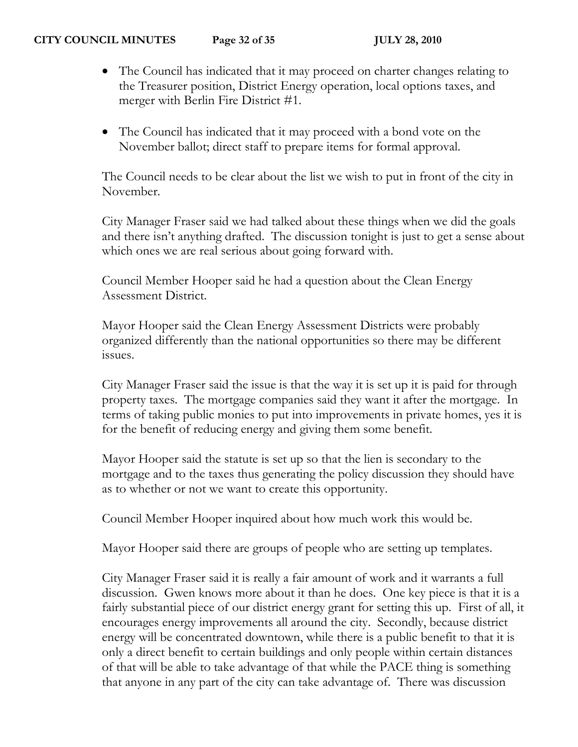- The Council has indicated that it may proceed on charter changes relating to the Treasurer position, District Energy operation, local options taxes, and merger with Berlin Fire District #1.
- The Council has indicated that it may proceed with a bond vote on the November ballot; direct staff to prepare items for formal approval.

The Council needs to be clear about the list we wish to put in front of the city in November.

City Manager Fraser said we had talked about these things when we did the goals and there isn't anything drafted. The discussion tonight is just to get a sense about which ones we are real serious about going forward with.

Council Member Hooper said he had a question about the Clean Energy Assessment District.

Mayor Hooper said the Clean Energy Assessment Districts were probably organized differently than the national opportunities so there may be different issues.

City Manager Fraser said the issue is that the way it is set up it is paid for through property taxes. The mortgage companies said they want it after the mortgage. In terms of taking public monies to put into improvements in private homes, yes it is for the benefit of reducing energy and giving them some benefit.

Mayor Hooper said the statute is set up so that the lien is secondary to the mortgage and to the taxes thus generating the policy discussion they should have as to whether or not we want to create this opportunity.

Council Member Hooper inquired about how much work this would be.

Mayor Hooper said there are groups of people who are setting up templates.

City Manager Fraser said it is really a fair amount of work and it warrants a full discussion. Gwen knows more about it than he does. One key piece is that it is a fairly substantial piece of our district energy grant for setting this up. First of all, it encourages energy improvements all around the city. Secondly, because district energy will be concentrated downtown, while there is a public benefit to that it is only a direct benefit to certain buildings and only people within certain distances of that will be able to take advantage of that while the PACE thing is something that anyone in any part of the city can take advantage of. There was discussion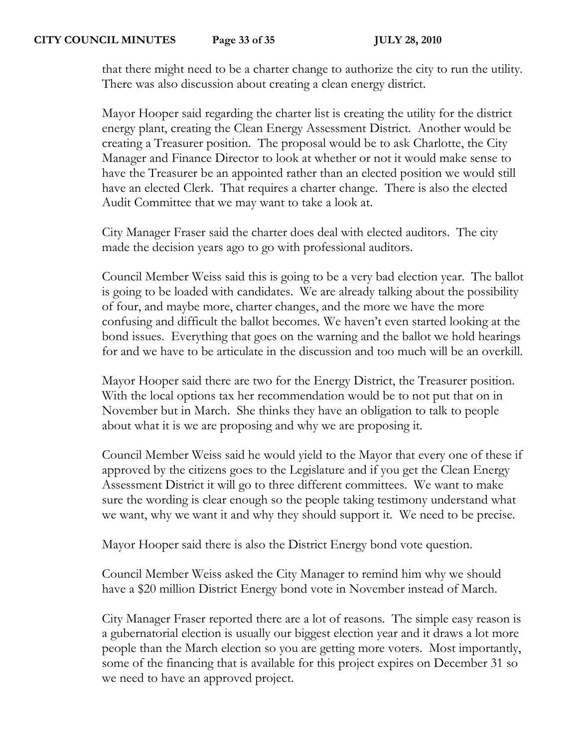that there might need to be a charter change to authorize the city to run the utility. There was also discussion about creating a clean energy district.

Mayor Hooper said regarding the charter list is creating the utility for the district energy plant, creating the Clean Energy Assessment District. Another would be creating a Treasurer position. The proposal would be to ask Charlotte, the City Manager and Finance Director to look at whether or not it would make sense to have the Treasurer be an appointed rather than an elected position we would still have an elected Clerk. That requires a charter change. There is also the elected Audit Committee that we may want to take a look at.

City Manager Fraser said the charter does deal with elected auditors. The city made the decision years ago to go with professional auditors.

Council Member Weiss said this is going to be a very bad election year. The ballot is going to be loaded with candidates. We are already talking about the possibility of four, and maybe more, charter changes, and the more we have the more confusing and difficult the ballot becomes. We haven't even started looking at the bond issues. Everything that goes on the warning and the ballot we hold hearings for and we have to be articulate in the discussion and too much will be an overkill.

Mayor Hooper said there are two for the Energy District, the Treasurer position. With the local options tax her recommendation would be to not put that on in November but in March. She thinks they have an obligation to talk to people about what it is we are proposing and why we are proposing it.

Council Member Weiss said he would yield to the Mayor that every one of these if approved by the citizens goes to the Legislature and if you get the Clean Energy Assessment District it will go to three different committees. We want to make sure the wording is clear enough so the people taking testimony understand what we want, why we want it and why they should support it. We need to be precise.

Mayor Hooper said there is also the District Energy bond vote question.

Council Member Weiss asked the City Manager to remind him why we should have a \$20 million District Energy bond vote in November instead of March.

City Manager Fraser reported there are a lot of reasons. The simple easy reason is a gubernatorial election is usually our biggest election year and it draws a lot more people than the March election so you are getting more voters. Most importantly, some of the financing that is available for this project expires on December 31 so we need to have an approved project.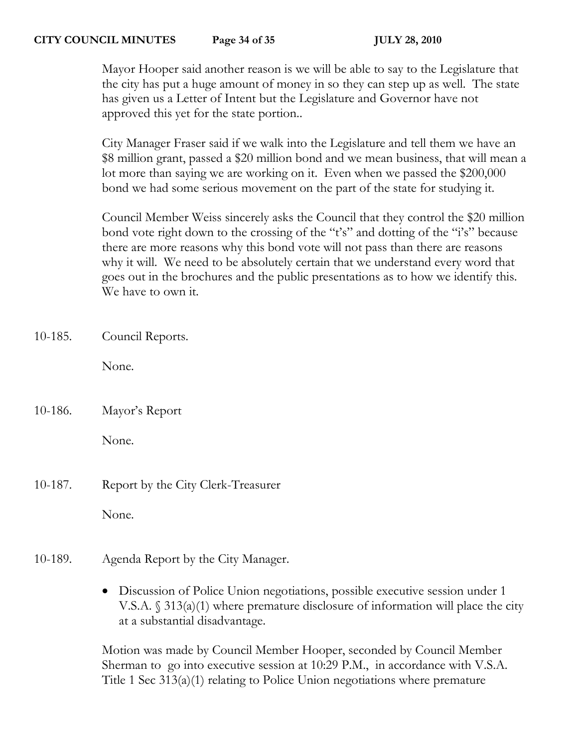Mayor Hooper said another reason is we will be able to say to the Legislature that the city has put a huge amount of money in so they can step up as well. The state has given us a Letter of Intent but the Legislature and Governor have not approved this yet for the state portion..

City Manager Fraser said if we walk into the Legislature and tell them we have an \$8 million grant, passed a \$20 million bond and we mean business, that will mean a lot more than saying we are working on it. Even when we passed the \$200,000 bond we had some serious movement on the part of the state for studying it.

Council Member Weiss sincerely asks the Council that they control the \$20 million bond vote right down to the crossing of the "t's" and dotting of the "i's" because there are more reasons why this bond vote will not pass than there are reasons why it will. We need to be absolutely certain that we understand every word that goes out in the brochures and the public presentations as to how we identify this. We have to own it.

10-185. Council Reports.

None.

10-186. Mayor's Report

None.

10-187. Report by the City Clerk-Treasurer

None.

- 10-189. Agenda Report by the City Manager.
	- Discussion of Police Union negotiations, possible executive session under 1 V.S.A. § 313(a)(1) where premature disclosure of information will place the city at a substantial disadvantage.

Motion was made by Council Member Hooper, seconded by Council Member Sherman to go into executive session at 10:29 P.M., in accordance with V.S.A. Title 1 Sec 313(a)(1) relating to Police Union negotiations where premature